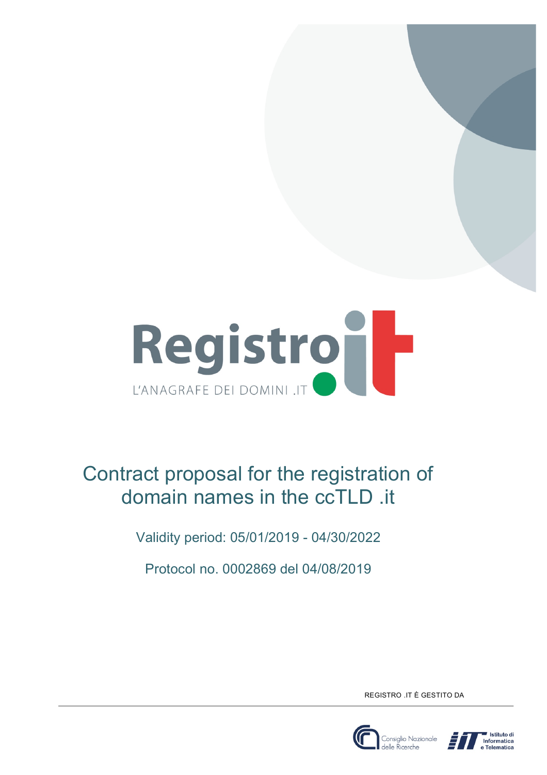

# Contract proposal for the registration of domain names in the ccTLD .it

Validity period: 05/01/2019 - 04/30/2022

Protocol no. 0002869 del 04/08/2019

REGISTRO .IT È GESTITO DA



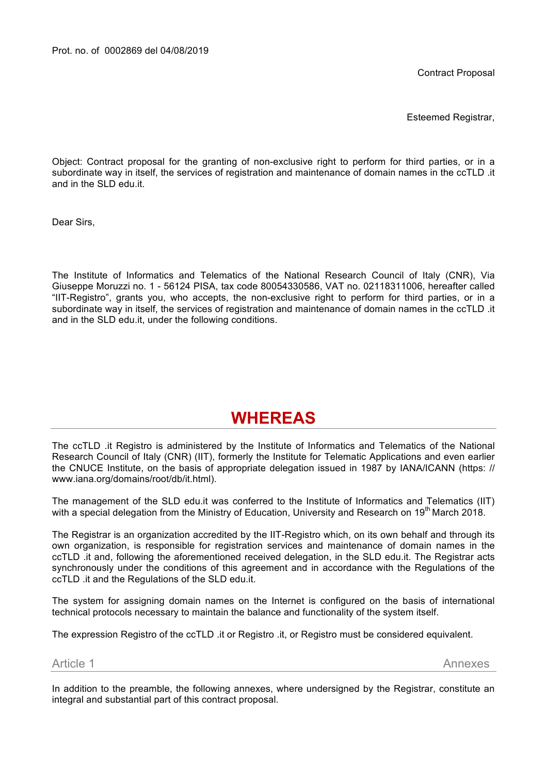Contract Proposal

Esteemed Registrar,

Object: Contract proposal for the granting of non-exclusive right to perform for third parties, or in a subordinate way in itself, the services of registration and maintenance of domain names in the ccTLD .it and in the SLD edu.it.

Dear Sirs,

The Institute of Informatics and Telematics of the National Research Council of Italy (CNR), Via Giuseppe Moruzzi no. 1 - 56124 PISA, tax code 80054330586, VAT no. 02118311006, hereafter called "IIT-Registro", grants you, who accepts, the non-exclusive right to perform for third parties, or in a subordinate way in itself, the services of registration and maintenance of domain names in the ccTLD .it and in the SLD edu.it, under the following conditions.

# **WHEREAS**

The ccTLD .it Registro is administered by the Institute of Informatics and Telematics of the National Research Council of Italy (CNR) (IIT), formerly the Institute for Telematic Applications and even earlier the CNUCE Institute, on the basis of appropriate delegation issued in 1987 by IANA/ICANN (https: // www.iana.org/domains/root/db/it.html).

The management of the SLD edu.it was conferred to the Institute of Informatics and Telematics (IIT) with a special delegation from the Ministry of Education, University and Research on 19<sup>th</sup> March 2018.

The Registrar is an organization accredited by the IIT-Registro which, on its own behalf and through its own organization, is responsible for registration services and maintenance of domain names in the ccTLD .it and, following the aforementioned received delegation, in the SLD edu.it. The Registrar acts synchronously under the conditions of this agreement and in accordance with the Regulations of the ccTLD .it and the Regulations of the SLD edu.it.

The system for assigning domain names on the Internet is configured on the basis of international technical protocols necessary to maintain the balance and functionality of the system itself.

The expression Registro of the ccTLD .it or Registro .it, or Registro must be considered equivalent.

Article 1 Annexes

In addition to the preamble, the following annexes, where undersigned by the Registrar, constitute an integral and substantial part of this contract proposal.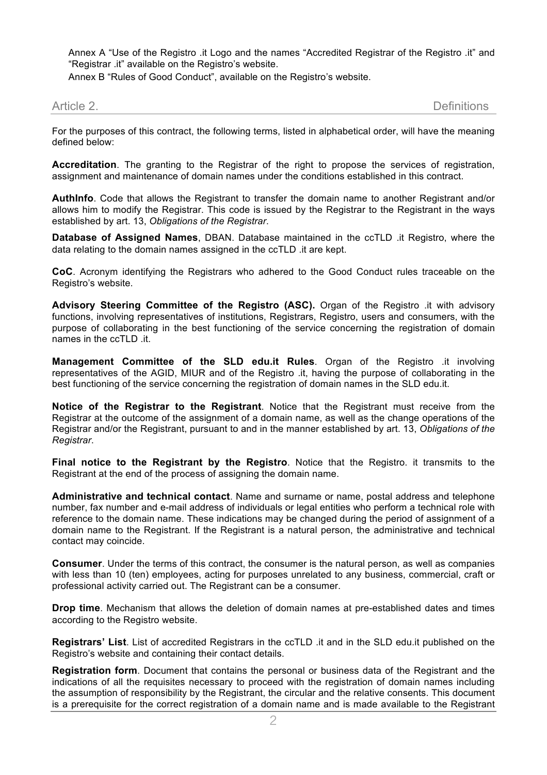Annex A "Use of the Registro .it Logo and the names "Accredited Registrar of the Registro .it" and "Registrar .it" available on the Registro's website.

Annex B "Rules of Good Conduct", available on the Registro's website.

Article 2. Definitions

For the purposes of this contract, the following terms, listed in alphabetical order, will have the meaning defined below:

**Accreditation**. The granting to the Registrar of the right to propose the services of registration, assignment and maintenance of domain names under the conditions established in this contract.

**AuthInfo**. Code that allows the Registrant to transfer the domain name to another Registrant and/or allows him to modify the Registrar. This code is issued by the Registrar to the Registrant in the ways established by art. 13, *Obligations of the Registrar*.

**Database of Assigned Names**, DBAN. Database maintained in the ccTLD .it Registro, where the data relating to the domain names assigned in the ccTLD .it are kept.

**CoC**. Acronym identifying the Registrars who adhered to the Good Conduct rules traceable on the Registro's website.

**Advisory Steering Committee of the Registro (ASC).** Organ of the Registro .it with advisory functions, involving representatives of institutions, Registrars, Registro, users and consumers, with the purpose of collaborating in the best functioning of the service concerning the registration of domain names in the ccTLD .it.

**Management Committee of the SLD edu.it Rules**. Organ of the Registro .it involving representatives of the AGID, MIUR and of the Registro .it, having the purpose of collaborating in the best functioning of the service concerning the registration of domain names in the SLD edu.it.

**Notice of the Registrar to the Registrant**. Notice that the Registrant must receive from the Registrar at the outcome of the assignment of a domain name, as well as the change operations of the Registrar and/or the Registrant, pursuant to and in the manner established by art. 13, *Obligations of the Registrar*.

**Final notice to the Registrant by the Registro**. Notice that the Registro. it transmits to the Registrant at the end of the process of assigning the domain name.

**Administrative and technical contact**. Name and surname or name, postal address and telephone number, fax number and e-mail address of individuals or legal entities who perform a technical role with reference to the domain name. These indications may be changed during the period of assignment of a domain name to the Registrant. If the Registrant is a natural person, the administrative and technical contact may coincide.

**Consumer**. Under the terms of this contract, the consumer is the natural person, as well as companies with less than 10 (ten) employees, acting for purposes unrelated to any business, commercial, craft or professional activity carried out. The Registrant can be a consumer.

**Drop time**. Mechanism that allows the deletion of domain names at pre-established dates and times according to the Registro website.

**Registrars' List**. List of accredited Registrars in the ccTLD .it and in the SLD edu.it published on the Registro's website and containing their contact details.

**Registration form**. Document that contains the personal or business data of the Registrant and the indications of all the requisites necessary to proceed with the registration of domain names including the assumption of responsibility by the Registrant, the circular and the relative consents. This document is a prerequisite for the correct registration of a domain name and is made available to the Registrant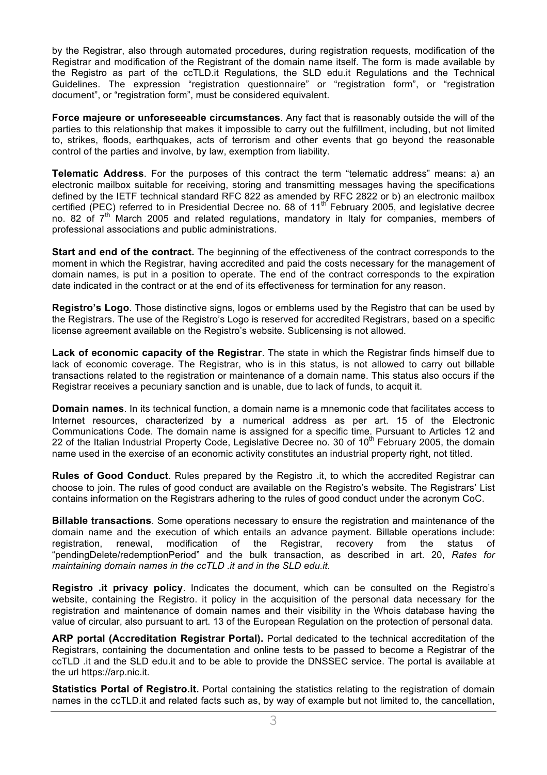by the Registrar, also through automated procedures, during registration requests, modification of the Registrar and modification of the Registrant of the domain name itself. The form is made available by the Registro as part of the ccTLD.it Regulations, the SLD edu.it Regulations and the Technical Guidelines. The expression "registration questionnaire" or "registration form", or "registration document", or "registration form", must be considered equivalent.

**Force majeure or unforeseeable circumstances**. Any fact that is reasonably outside the will of the parties to this relationship that makes it impossible to carry out the fulfillment, including, but not limited to, strikes, floods, earthquakes, acts of terrorism and other events that go beyond the reasonable control of the parties and involve, by law, exemption from liability.

**Telematic Address**. For the purposes of this contract the term "telematic address" means: a) an electronic mailbox suitable for receiving, storing and transmitting messages having the specifications defined by the IETF technical standard RFC 822 as amended by RFC 2822 or b) an electronic mailbox certified (PEC) referred to in Presidential Decree no. 68 of  $11<sup>th</sup>$  February 2005, and legislative decree no. 82 of  $7<sup>th</sup>$  March 2005 and related regulations, mandatory in Italy for companies, members of professional associations and public administrations.

**Start and end of the contract.** The beginning of the effectiveness of the contract corresponds to the moment in which the Registrar, having accredited and paid the costs necessary for the management of domain names, is put in a position to operate. The end of the contract corresponds to the expiration date indicated in the contract or at the end of its effectiveness for termination for any reason.

**Registro's Logo**. Those distinctive signs, logos or emblems used by the Registro that can be used by the Registrars. The use of the Registro's Logo is reserved for accredited Registrars, based on a specific license agreement available on the Registro's website. Sublicensing is not allowed.

**Lack of economic capacity of the Registrar**. The state in which the Registrar finds himself due to lack of economic coverage. The Registrar, who is in this status, is not allowed to carry out billable transactions related to the registration or maintenance of a domain name. This status also occurs if the Registrar receives a pecuniary sanction and is unable, due to lack of funds, to acquit it.

**Domain names**. In its technical function, a domain name is a mnemonic code that facilitates access to Internet resources, characterized by a numerical address as per art. 15 of the Electronic Communications Code. The domain name is assigned for a specific time. Pursuant to Articles 12 and 22 of the Italian Industrial Property Code, Legislative Decree no. 30 of 10<sup>th</sup> February 2005, the domain name used in the exercise of an economic activity constitutes an industrial property right, not titled.

**Rules of Good Conduct**. Rules prepared by the Registro .it, to which the accredited Registrar can choose to join. The rules of good conduct are available on the Registro's website. The Registrars' List contains information on the Registrars adhering to the rules of good conduct under the acronym CoC.

**Billable transactions**. Some operations necessary to ensure the registration and maintenance of the domain name and the execution of which entails an advance payment. Billable operations include: registration, renewal, modification of the Registrar, recovery from the status of "pendingDelete/redemptionPeriod" and the bulk transaction, as described in art. 20, *Rates for maintaining domain names in the ccTLD .it and in the SLD edu.it*.

**Registro .it privacy policy**. Indicates the document, which can be consulted on the Registro's website, containing the Registro. it policy in the acquisition of the personal data necessary for the registration and maintenance of domain names and their visibility in the Whois database having the value of circular, also pursuant to art. 13 of the European Regulation on the protection of personal data.

**ARP portal (Accreditation Registrar Portal).** Portal dedicated to the technical accreditation of the Registrars, containing the documentation and online tests to be passed to become a Registrar of the ccTLD .it and the SLD edu.it and to be able to provide the DNSSEC service. The portal is available at the url https://arp.nic.it.

**Statistics Portal of Registro.it.** Portal containing the statistics relating to the registration of domain names in the ccTLD.it and related facts such as, by way of example but not limited to, the cancellation,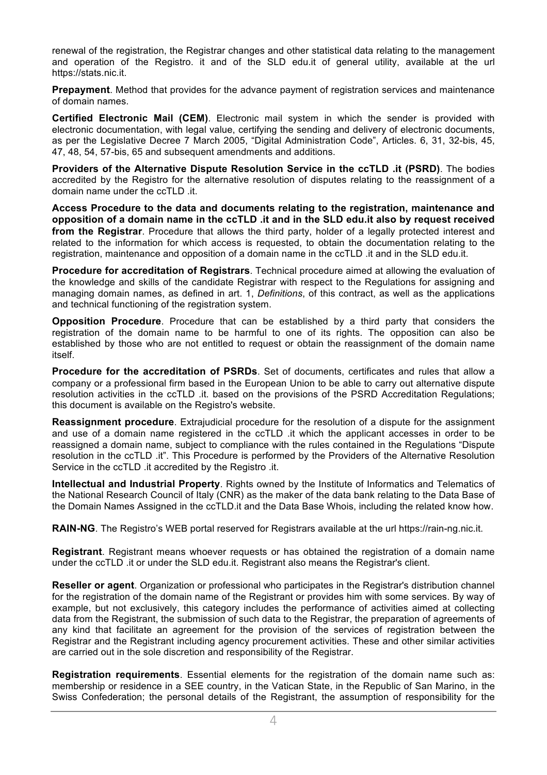renewal of the registration, the Registrar changes and other statistical data relating to the management and operation of the Registro. it and of the SLD edu.it of general utility, available at the url https://stats.nic.it.

**Prepayment**. Method that provides for the advance payment of registration services and maintenance of domain names.

**Certified Electronic Mail (CEM)**. Electronic mail system in which the sender is provided with electronic documentation, with legal value, certifying the sending and delivery of electronic documents, as per the Legislative Decree 7 March 2005, "Digital Administration Code", Articles. 6, 31, 32-bis, 45, 47, 48, 54, 57-bis, 65 and subsequent amendments and additions.

**Providers of the Alternative Dispute Resolution Service in the ccTLD .it (PSRD)**. The bodies accredited by the Registro for the alternative resolution of disputes relating to the reassignment of a domain name under the ccTLD .it.

**Access Procedure to the data and documents relating to the registration, maintenance and opposition of a domain name in the ccTLD .it and in the SLD edu.it also by request received from the Registrar**. Procedure that allows the third party, holder of a legally protected interest and related to the information for which access is requested, to obtain the documentation relating to the registration, maintenance and opposition of a domain name in the ccTLD .it and in the SLD edu.it.

**Procedure for accreditation of Registrars**. Technical procedure aimed at allowing the evaluation of the knowledge and skills of the candidate Registrar with respect to the Regulations for assigning and managing domain names, as defined in art. 1, *Definitions*, of this contract, as well as the applications and technical functioning of the registration system.

**Opposition Procedure**. Procedure that can be established by a third party that considers the registration of the domain name to be harmful to one of its rights. The opposition can also be established by those who are not entitled to request or obtain the reassignment of the domain name itself.

**Procedure for the accreditation of PSRDs**. Set of documents, certificates and rules that allow a company or a professional firm based in the European Union to be able to carry out alternative dispute resolution activities in the ccTLD .it. based on the provisions of the PSRD Accreditation Regulations; this document is available on the Registro's website.

**Reassignment procedure**. Extrajudicial procedure for the resolution of a dispute for the assignment and use of a domain name registered in the ccTLD .it which the applicant accesses in order to be reassigned a domain name, subject to compliance with the rules contained in the Regulations "Dispute resolution in the ccTLD .it". This Procedure is performed by the Providers of the Alternative Resolution Service in the ccTLD .it accredited by the Registro .it.

**Intellectual and Industrial Property**. Rights owned by the Institute of Informatics and Telematics of the National Research Council of Italy (CNR) as the maker of the data bank relating to the Data Base of the Domain Names Assigned in the ccTLD.it and the Data Base Whois, including the related know how.

**RAIN-NG**. The Registro's WEB portal reserved for Registrars available at the url https://rain-ng.nic.it.

**Registrant**. Registrant means whoever requests or has obtained the registration of a domain name under the ccTLD .it or under the SLD edu.it. Registrant also means the Registrar's client.

**Reseller or agent**. Organization or professional who participates in the Registrar's distribution channel for the registration of the domain name of the Registrant or provides him with some services. By way of example, but not exclusively, this category includes the performance of activities aimed at collecting data from the Registrant, the submission of such data to the Registrar, the preparation of agreements of any kind that facilitate an agreement for the provision of the services of registration between the Registrar and the Registrant including agency procurement activities. These and other similar activities are carried out in the sole discretion and responsibility of the Registrar.

**Registration requirements**. Essential elements for the registration of the domain name such as: membership or residence in a SEE country, in the Vatican State, in the Republic of San Marino, in the Swiss Confederation; the personal details of the Registrant, the assumption of responsibility for the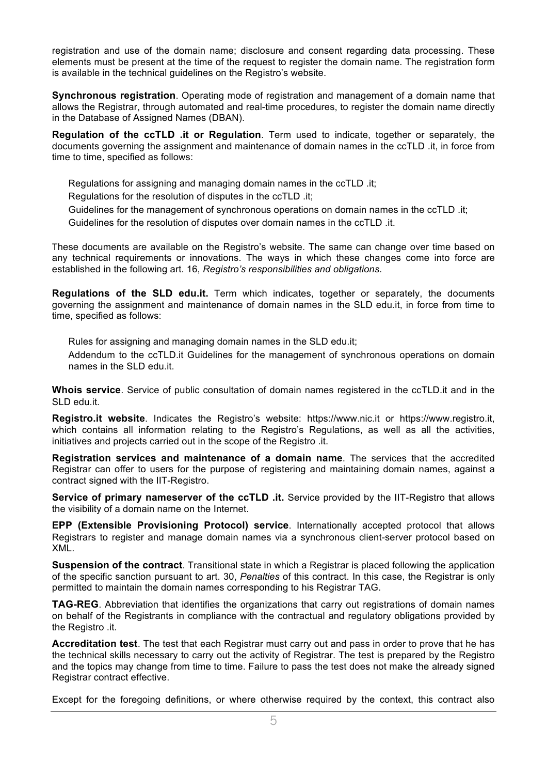registration and use of the domain name; disclosure and consent regarding data processing. These elements must be present at the time of the request to register the domain name. The registration form is available in the technical guidelines on the Registro's website.

**Synchronous registration**. Operating mode of registration and management of a domain name that allows the Registrar, through automated and real-time procedures, to register the domain name directly in the Database of Assigned Names (DBAN).

**Regulation of the ccTLD .it or Regulation**. Term used to indicate, together or separately, the documents governing the assignment and maintenance of domain names in the ccTLD .it, in force from time to time, specified as follows:

Regulations for assigning and managing domain names in the ccTLD .it;

Regulations for the resolution of disputes in the ccTLD .it;

Guidelines for the management of synchronous operations on domain names in the ccTLD .it;

Guidelines for the resolution of disputes over domain names in the ccTLD .it.

These documents are available on the Registro's website. The same can change over time based on any technical requirements or innovations. The ways in which these changes come into force are established in the following art. 16, *Registro's responsibilities and obligations*.

**Regulations of the SLD edu.it.** Term which indicates, together or separately, the documents governing the assignment and maintenance of domain names in the SLD edu.it, in force from time to time, specified as follows:

Rules for assigning and managing domain names in the SLD edu.it;

 Addendum to the ccTLD.it Guidelines for the management of synchronous operations on domain names in the SLD edu.it.

**Whois service**. Service of public consultation of domain names registered in the ccTLD.it and in the SLD edu.it.

**Registro.it website**. Indicates the Registro's website: https://www.nic.it or https://www.registro.it, which contains all information relating to the Registro's Regulations, as well as all the activities, initiatives and projects carried out in the scope of the Registro .it.

**Registration services and maintenance of a domain name**. The services that the accredited Registrar can offer to users for the purpose of registering and maintaining domain names, against a contract signed with the IIT-Registro.

**Service of primary nameserver of the ccTLD .it.** Service provided by the IIT-Registro that allows the visibility of a domain name on the Internet.

**EPP (Extensible Provisioning Protocol) service**. Internationally accepted protocol that allows Registrars to register and manage domain names via a synchronous client-server protocol based on XML.

**Suspension of the contract**. Transitional state in which a Registrar is placed following the application of the specific sanction pursuant to art. 30, *Penalties* of this contract. In this case, the Registrar is only permitted to maintain the domain names corresponding to his Registrar TAG.

**TAG-REG**. Abbreviation that identifies the organizations that carry out registrations of domain names on behalf of the Registrants in compliance with the contractual and regulatory obligations provided by the Registro .it.

**Accreditation test**. The test that each Registrar must carry out and pass in order to prove that he has the technical skills necessary to carry out the activity of Registrar. The test is prepared by the Registro and the topics may change from time to time. Failure to pass the test does not make the already signed Registrar contract effective.

Except for the foregoing definitions, or where otherwise required by the context, this contract also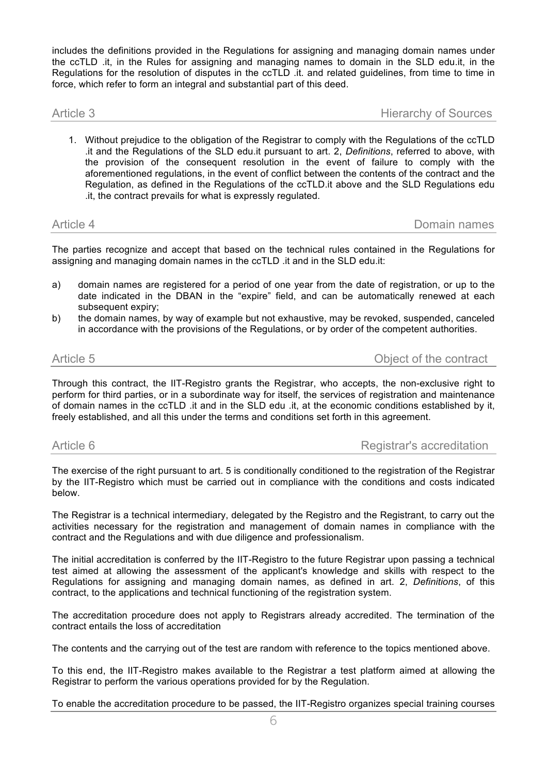includes the definitions provided in the Regulations for assigning and managing domain names under the ccTLD .it, in the Rules for assigning and managing names to domain in the SLD edu.it, in the Regulations for the resolution of disputes in the ccTLD .it. and related guidelines, from time to time in force, which refer to form an integral and substantial part of this deed.

Article 3 Hierarchy of Sources

1. Without prejudice to the obligation of the Registrar to comply with the Regulations of the ccTLD .it and the Regulations of the SLD edu.it pursuant to art. 2, *Definitions*, referred to above, with the provision of the consequent resolution in the event of failure to comply with the aforementioned regulations, in the event of conflict between the contents of the contract and the Regulation, as defined in the Regulations of the ccTLD.it above and the SLD Regulations edu .it, the contract prevails for what is expressly regulated.

Article 4 Domain names

The parties recognize and accept that based on the technical rules contained in the Regulations for assigning and managing domain names in the ccTLD .it and in the SLD edu.it:

- a) domain names are registered for a period of one year from the date of registration, or up to the date indicated in the DBAN in the "expire" field, and can be automatically renewed at each subsequent expiry;
- b) the domain names, by way of example but not exhaustive, may be revoked, suspended, canceled in accordance with the provisions of the Regulations, or by order of the competent authorities.

Article 5 Object of the contract

Through this contract, the IIT-Registro grants the Registrar, who accepts, the non-exclusive right to perform for third parties, or in a subordinate way for itself, the services of registration and maintenance of domain names in the ccTLD .it and in the SLD edu .it, at the economic conditions established by it, freely established, and all this under the terms and conditions set forth in this agreement.

Article 6 **Registrar's accreditation** 

The exercise of the right pursuant to art. 5 is conditionally conditioned to the registration of the Registrar by the IIT-Registro which must be carried out in compliance with the conditions and costs indicated below.

The Registrar is a technical intermediary, delegated by the Registro and the Registrant, to carry out the activities necessary for the registration and management of domain names in compliance with the contract and the Regulations and with due diligence and professionalism.

The initial accreditation is conferred by the IIT-Registro to the future Registrar upon passing a technical test aimed at allowing the assessment of the applicant's knowledge and skills with respect to the Regulations for assigning and managing domain names, as defined in art. 2, *Definitions*, of this contract, to the applications and technical functioning of the registration system.

The accreditation procedure does not apply to Registrars already accredited. The termination of the contract entails the loss of accreditation

The contents and the carrying out of the test are random with reference to the topics mentioned above.

To this end, the IIT-Registro makes available to the Registrar a test platform aimed at allowing the Registrar to perform the various operations provided for by the Regulation.

To enable the accreditation procedure to be passed, the IIT-Registro organizes special training courses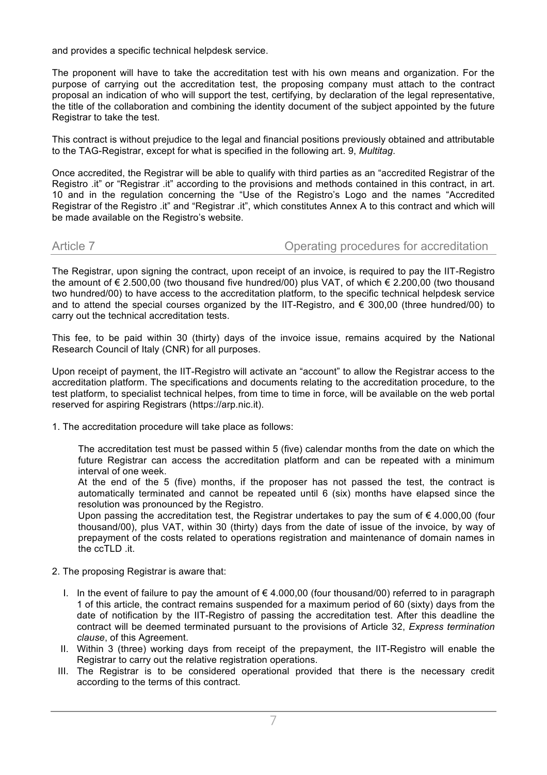and provides a specific technical helpdesk service.

The proponent will have to take the accreditation test with his own means and organization. For the purpose of carrying out the accreditation test, the proposing company must attach to the contract proposal an indication of who will support the test, certifying, by declaration of the legal representative, the title of the collaboration and combining the identity document of the subject appointed by the future Registrar to take the test.

This contract is without prejudice to the legal and financial positions previously obtained and attributable to the TAG-Registrar, except for what is specified in the following art. 9, *Multitag*.

Once accredited, the Registrar will be able to qualify with third parties as an "accredited Registrar of the Registro .it" or "Registrar .it" according to the provisions and methods contained in this contract, in art. 10 and in the regulation concerning the "Use of the Registro's Logo and the names "Accredited Registrar of the Registro .it" and "Registrar .it", which constitutes Annex A to this contract and which will be made available on the Registro's website.

### Article 7 **Operating procedures for accreditation**

The Registrar, upon signing the contract, upon receipt of an invoice, is required to pay the IIT-Registro the amount of € 2.500,00 (two thousand five hundred/00) plus VAT, of which € 2.200,00 (two thousand two hundred/00) to have access to the accreditation platform, to the specific technical helpdesk service and to attend the special courses organized by the IIT-Registro, and  $\epsilon$  300,00 (three hundred/00) to carry out the technical accreditation tests.

This fee, to be paid within 30 (thirty) days of the invoice issue, remains acquired by the National Research Council of Italy (CNR) for all purposes.

Upon receipt of payment, the IIT-Registro will activate an "account" to allow the Registrar access to the accreditation platform. The specifications and documents relating to the accreditation procedure, to the test platform, to specialist technical helpes, from time to time in force, will be available on the web portal reserved for aspiring Registrars (https://arp.nic.it).

1. The accreditation procedure will take place as follows:

The accreditation test must be passed within 5 (five) calendar months from the date on which the future Registrar can access the accreditation platform and can be repeated with a minimum interval of one week.

At the end of the 5 (five) months, if the proposer has not passed the test, the contract is automatically terminated and cannot be repeated until 6 (six) months have elapsed since the resolution was pronounced by the Registro.

Upon passing the accreditation test, the Registrar undertakes to pay the sum of  $\epsilon$  4.000,00 (four thousand/00), plus VAT, within 30 (thirty) days from the date of issue of the invoice, by way of prepayment of the costs related to operations registration and maintenance of domain names in the ccTLD .it.

- 2. The proposing Registrar is aware that:
	- I. In the event of failure to pay the amount of  $\epsilon$  4.000,00 (four thousand/00) referred to in paragraph 1 of this article, the contract remains suspended for a maximum period of 60 (sixty) days from the date of notification by the IIT-Registro of passing the accreditation test. After this deadline the contract will be deemed terminated pursuant to the provisions of Article 32, *Express termination clause*, of this Agreement.
	- II. Within 3 (three) working days from receipt of the prepayment, the IIT-Registro will enable the Registrar to carry out the relative registration operations.
	- III. The Registrar is to be considered operational provided that there is the necessary credit according to the terms of this contract.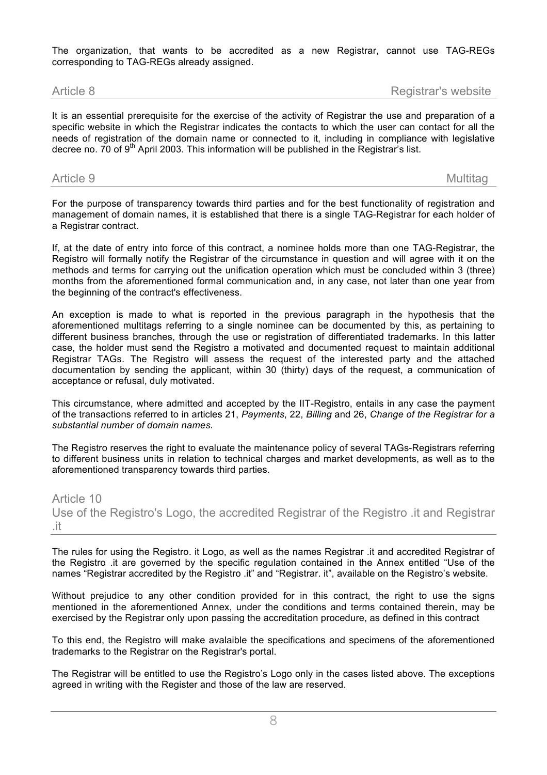The organization, that wants to be accredited as a new Registrar, cannot use TAG-REGs corresponding to TAG-REGs already assigned.

Article 8 **Article 8 Registrar's website** 

It is an essential prerequisite for the exercise of the activity of Registrar the use and preparation of a specific website in which the Registrar indicates the contacts to which the user can contact for all the needs of registration of the domain name or connected to it, including in compliance with legislative decree no.  $70$  of  $9<sup>th</sup>$  April 2003. This information will be published in the Registrar's list.

### Article 9 Multitage Multitage Multitage Multitage Multitage Multitage Multitage Multitage Multitage

For the purpose of transparency towards third parties and for the best functionality of registration and management of domain names, it is established that there is a single TAG-Registrar for each holder of a Registrar contract.

If, at the date of entry into force of this contract, a nominee holds more than one TAG-Registrar, the Registro will formally notify the Registrar of the circumstance in question and will agree with it on the methods and terms for carrying out the unification operation which must be concluded within 3 (three) months from the aforementioned formal communication and, in any case, not later than one year from the beginning of the contract's effectiveness.

An exception is made to what is reported in the previous paragraph in the hypothesis that the aforementioned multitags referring to a single nominee can be documented by this, as pertaining to different business branches, through the use or registration of differentiated trademarks. In this latter case, the holder must send the Registro a motivated and documented request to maintain additional Registrar TAGs. The Registro will assess the request of the interested party and the attached documentation by sending the applicant, within 30 (thirty) days of the request, a communication of acceptance or refusal, duly motivated.

This circumstance, where admitted and accepted by the IIT-Registro, entails in any case the payment of the transactions referred to in articles 21, *Payments*, 22, *Billing* and 26, *Change of the Registrar for a substantial number of domain names*.

The Registro reserves the right to evaluate the maintenance policy of several TAGs-Registrars referring to different business units in relation to technical charges and market developments, as well as to the aforementioned transparency towards third parties.

Article 10 Use of the Registro's Logo, the accredited Registrar of the Registro .it and Registrar .it

The rules for using the Registro. it Logo, as well as the names Registrar .it and accredited Registrar of the Registro .it are governed by the specific regulation contained in the Annex entitled "Use of the names "Registrar accredited by the Registro .it" and "Registrar. it", available on the Registro's website.

Without prejudice to any other condition provided for in this contract, the right to use the signs mentioned in the aforementioned Annex, under the conditions and terms contained therein, may be exercised by the Registrar only upon passing the accreditation procedure, as defined in this contract

To this end, the Registro will make avalaible the specifications and specimens of the aforementioned trademarks to the Registrar on the Registrar's portal.

The Registrar will be entitled to use the Registro's Logo only in the cases listed above. The exceptions agreed in writing with the Register and those of the law are reserved.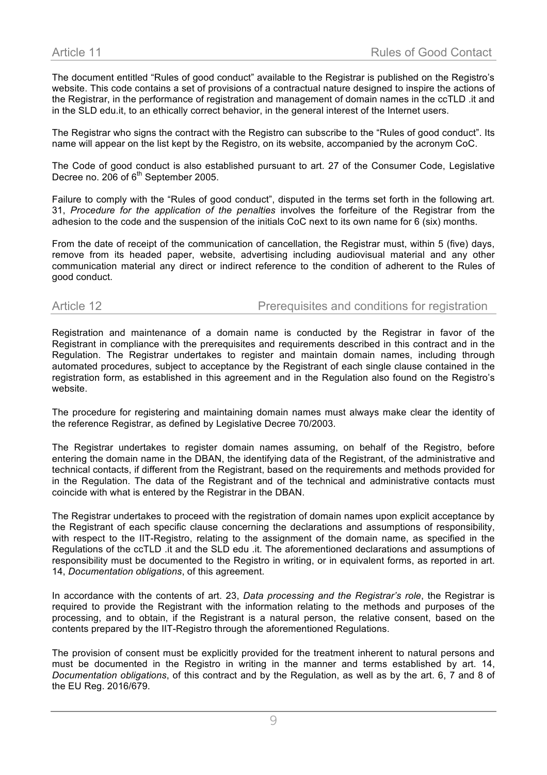The document entitled "Rules of good conduct" available to the Registrar is published on the Registro's website. This code contains a set of provisions of a contractual nature designed to inspire the actions of the Registrar, in the performance of registration and management of domain names in the ccTLD .it and in the SLD edu.it, to an ethically correct behavior, in the general interest of the Internet users.

The Registrar who signs the contract with the Registro can subscribe to the "Rules of good conduct". Its name will appear on the list kept by the Registro, on its website, accompanied by the acronym CoC.

The Code of good conduct is also established pursuant to art. 27 of the Consumer Code, Legislative Decree no. 206 of 6<sup>th</sup> September 2005.

Failure to comply with the "Rules of good conduct", disputed in the terms set forth in the following art. 31, *Procedure for the application of the penalties* involves the forfeiture of the Registrar from the adhesion to the code and the suspension of the initials CoC next to its own name for 6 (six) months.

From the date of receipt of the communication of cancellation, the Registrar must, within 5 (five) days, remove from its headed paper, website, advertising including audiovisual material and any other communication material any direct or indirect reference to the condition of adherent to the Rules of good conduct.

Article 12 **Prerequisites and conditions for registration** 

Registration and maintenance of a domain name is conducted by the Registrar in favor of the Registrant in compliance with the prerequisites and requirements described in this contract and in the Regulation. The Registrar undertakes to register and maintain domain names, including through automated procedures, subject to acceptance by the Registrant of each single clause contained in the registration form, as established in this agreement and in the Regulation also found on the Registro's website.

The procedure for registering and maintaining domain names must always make clear the identity of the reference Registrar, as defined by Legislative Decree 70/2003.

The Registrar undertakes to register domain names assuming, on behalf of the Registro, before entering the domain name in the DBAN, the identifying data of the Registrant, of the administrative and technical contacts, if different from the Registrant, based on the requirements and methods provided for in the Regulation. The data of the Registrant and of the technical and administrative contacts must coincide with what is entered by the Registrar in the DBAN.

The Registrar undertakes to proceed with the registration of domain names upon explicit acceptance by the Registrant of each specific clause concerning the declarations and assumptions of responsibility, with respect to the IIT-Registro, relating to the assignment of the domain name, as specified in the Regulations of the ccTLD .it and the SLD edu .it. The aforementioned declarations and assumptions of responsibility must be documented to the Registro in writing, or in equivalent forms, as reported in art. 14, *Documentation obligations*, of this agreement.

In accordance with the contents of art. 23, *Data processing and the Registrar's role*, the Registrar is required to provide the Registrant with the information relating to the methods and purposes of the processing, and to obtain, if the Registrant is a natural person, the relative consent, based on the contents prepared by the IIT-Registro through the aforementioned Regulations.

The provision of consent must be explicitly provided for the treatment inherent to natural persons and must be documented in the Registro in writing in the manner and terms established by art. 14, *Documentation obligations*, of this contract and by the Regulation, as well as by the art. 6, 7 and 8 of the EU Reg. 2016/679.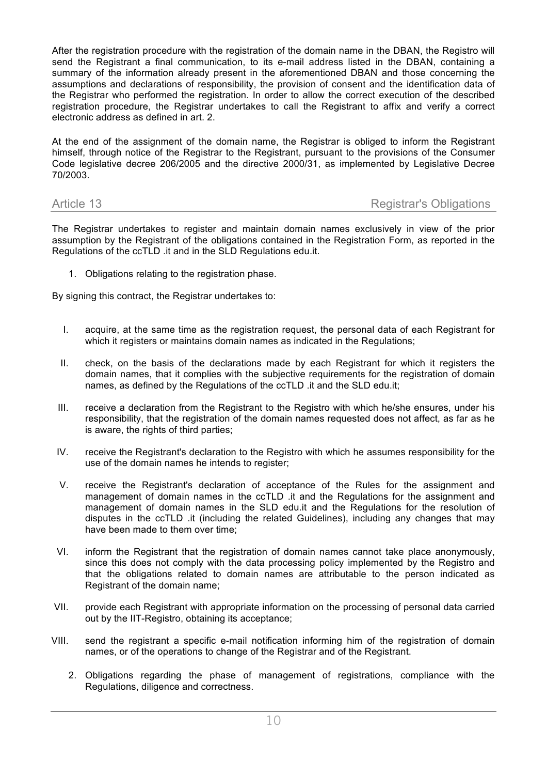After the registration procedure with the registration of the domain name in the DBAN, the Registro will send the Registrant a final communication, to its e-mail address listed in the DBAN, containing a summary of the information already present in the aforementioned DBAN and those concerning the assumptions and declarations of responsibility, the provision of consent and the identification data of the Registrar who performed the registration. In order to allow the correct execution of the described registration procedure, the Registrar undertakes to call the Registrant to affix and verify a correct electronic address as defined in art. 2.

At the end of the assignment of the domain name, the Registrar is obliged to inform the Registrant himself, through notice of the Registrar to the Registrant, pursuant to the provisions of the Consumer Code legislative decree 206/2005 and the directive 2000/31, as implemented by Legislative Decree 70/2003.

### Article 13 **Registrar's Obligations Registrar's Obligations**

The Registrar undertakes to register and maintain domain names exclusively in view of the prior assumption by the Registrant of the obligations contained in the Registration Form, as reported in the Regulations of the ccTLD .it and in the SLD Regulations edu.it.

1. Obligations relating to the registration phase.

By signing this contract, the Registrar undertakes to:

- I. acquire, at the same time as the registration request, the personal data of each Registrant for which it registers or maintains domain names as indicated in the Regulations;
- II. check, on the basis of the declarations made by each Registrant for which it registers the domain names, that it complies with the subjective requirements for the registration of domain names, as defined by the Regulations of the ccTLD .it and the SLD edu.it;
- III. receive a declaration from the Registrant to the Registro with which he/she ensures, under his responsibility, that the registration of the domain names requested does not affect, as far as he is aware, the rights of third parties;
- IV. receive the Registrant's declaration to the Registro with which he assumes responsibility for the use of the domain names he intends to register;
- V. receive the Registrant's declaration of acceptance of the Rules for the assignment and management of domain names in the ccTLD .it and the Regulations for the assignment and management of domain names in the SLD edu.it and the Regulations for the resolution of disputes in the ccTLD .it (including the related Guidelines), including any changes that may have been made to them over time;
- VI. inform the Registrant that the registration of domain names cannot take place anonymously, since this does not comply with the data processing policy implemented by the Registro and that the obligations related to domain names are attributable to the person indicated as Registrant of the domain name;
- VII. provide each Registrant with appropriate information on the processing of personal data carried out by the IIT-Registro, obtaining its acceptance;
- VIII. send the registrant a specific e-mail notification informing him of the registration of domain names, or of the operations to change of the Registrar and of the Registrant.
	- 2. Obligations regarding the phase of management of registrations, compliance with the Regulations, diligence and correctness.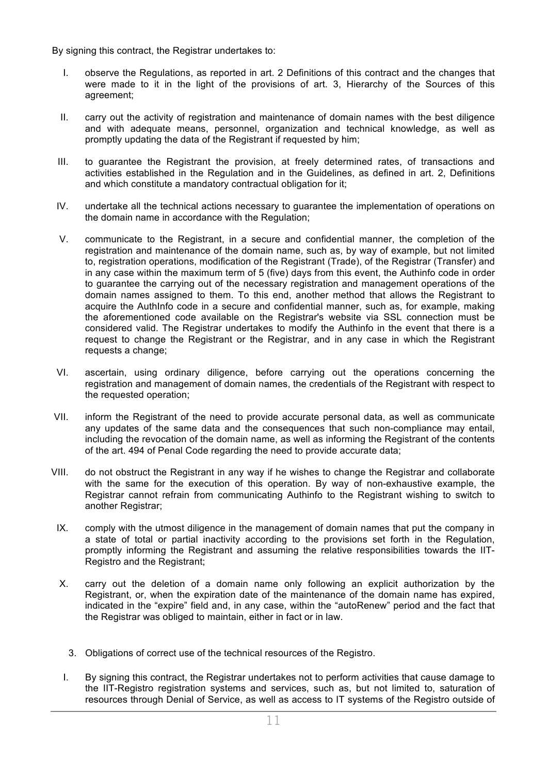By signing this contract, the Registrar undertakes to:

- I. observe the Regulations, as reported in art. 2 Definitions of this contract and the changes that were made to it in the light of the provisions of art. 3, Hierarchy of the Sources of this agreement;
- II. carry out the activity of registration and maintenance of domain names with the best diligence and with adequate means, personnel, organization and technical knowledge, as well as promptly updating the data of the Registrant if requested by him;
- III. to guarantee the Registrant the provision, at freely determined rates, of transactions and activities established in the Regulation and in the Guidelines, as defined in art. 2, Definitions and which constitute a mandatory contractual obligation for it;
- IV. undertake all the technical actions necessary to guarantee the implementation of operations on the domain name in accordance with the Regulation;
- V. communicate to the Registrant, in a secure and confidential manner, the completion of the registration and maintenance of the domain name, such as, by way of example, but not limited to, registration operations, modification of the Registrant (Trade), of the Registrar (Transfer) and in any case within the maximum term of 5 (five) days from this event, the Authinfo code in order to guarantee the carrying out of the necessary registration and management operations of the domain names assigned to them. To this end, another method that allows the Registrant to acquire the AuthInfo code in a secure and confidential manner, such as, for example, making the aforementioned code available on the Registrar's website via SSL connection must be considered valid. The Registrar undertakes to modify the Authinfo in the event that there is a request to change the Registrant or the Registrar, and in any case in which the Registrant requests a change;
- VI. ascertain, using ordinary diligence, before carrying out the operations concerning the registration and management of domain names, the credentials of the Registrant with respect to the requested operation;
- VII. inform the Registrant of the need to provide accurate personal data, as well as communicate any updates of the same data and the consequences that such non-compliance may entail, including the revocation of the domain name, as well as informing the Registrant of the contents of the art. 494 of Penal Code regarding the need to provide accurate data;
- VIII. do not obstruct the Registrant in any way if he wishes to change the Registrar and collaborate with the same for the execution of this operation. By way of non-exhaustive example, the Registrar cannot refrain from communicating Authinfo to the Registrant wishing to switch to another Registrar;
	- IX. comply with the utmost diligence in the management of domain names that put the company in a state of total or partial inactivity according to the provisions set forth in the Regulation, promptly informing the Registrant and assuming the relative responsibilities towards the IIT-Registro and the Registrant;
	- X. carry out the deletion of a domain name only following an explicit authorization by the Registrant, or, when the expiration date of the maintenance of the domain name has expired, indicated in the "expire" field and, in any case, within the "autoRenew" period and the fact that the Registrar was obliged to maintain, either in fact or in law.
		- 3. Obligations of correct use of the technical resources of the Registro.
	- I. By signing this contract, the Registrar undertakes not to perform activities that cause damage to the IIT-Registro registration systems and services, such as, but not limited to, saturation of resources through Denial of Service, as well as access to IT systems of the Registro outside of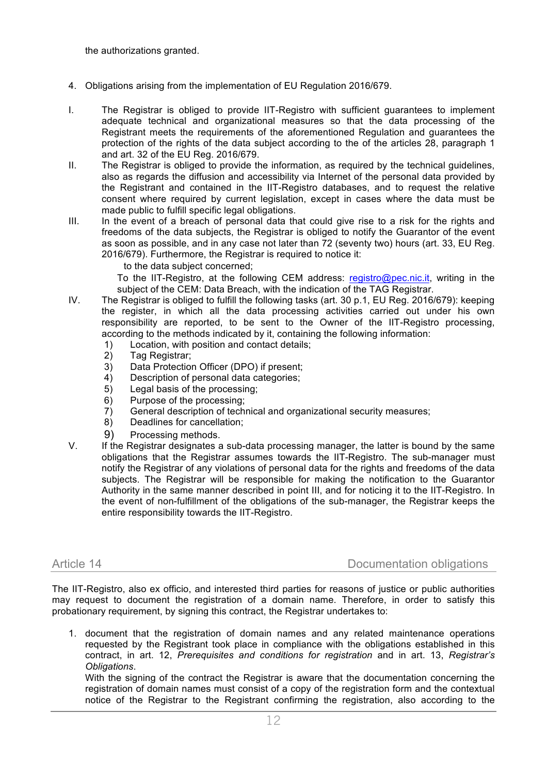the authorizations granted.

- 4. Obligations arising from the implementation of EU Regulation 2016/679.
- I. The Registrar is obliged to provide IIT-Registro with sufficient guarantees to implement adequate technical and organizational measures so that the data processing of the Registrant meets the requirements of the aforementioned Regulation and guarantees the protection of the rights of the data subject according to the of the articles 28, paragraph 1 and art. 32 of the EU Reg. 2016/679.
- II. The Registrar is obliged to provide the information, as required by the technical guidelines, also as regards the diffusion and accessibility via Internet of the personal data provided by the Registrant and contained in the IIT-Registro databases, and to request the relative consent where required by current legislation, except in cases where the data must be made public to fulfill specific legal obligations.
- III. In the event of a breach of personal data that could give rise to a risk for the rights and freedoms of the data subjects, the Registrar is obliged to notify the Guarantor of the event as soon as possible, and in any case not later than 72 (seventy two) hours (art. 33, EU Reg. 2016/679). Furthermore, the Registrar is required to notice it:
	- to the data subject concerned;

 To the IIT-Registro, at the following CEM address: registro@pec.nic.it, writing in the subject of the CEM: Data Breach, with the indication of the TAG Registrar.

- IV. The Registrar is obliged to fulfill the following tasks (art. 30 p.1, EU Reg. 2016/679): keeping the register, in which all the data processing activities carried out under his own responsibility are reported, to be sent to the Owner of the IIT-Registro processing, according to the methods indicated by it, containing the following information:
	- 1) Location, with position and contact details;
	- 2) Tag Registrar;
	- 3) Data Protection Officer (DPO) if present;
	- 4) Description of personal data categories;
	- 5) Legal basis of the processing;
	- 6) Purpose of the processing;
	- 7) General description of technical and organizational security measures;
	- 8) Deadlines for cancellation;
	- 9) Processing methods.
- V. If the Registrar designates a sub-data processing manager, the latter is bound by the same obligations that the Registrar assumes towards the IIT-Registro. The sub-manager must notify the Registrar of any violations of personal data for the rights and freedoms of the data subjects. The Registrar will be responsible for making the notification to the Guarantor Authority in the same manner described in point III, and for noticing it to the IIT-Registro. In the event of non-fulfillment of the obligations of the sub-manager, the Registrar keeps the entire responsibility towards the IIT-Registro.

Article 14 Documentation obligations

The IIT-Registro, also ex officio, and interested third parties for reasons of justice or public authorities may request to document the registration of a domain name. Therefore, in order to satisfy this probationary requirement, by signing this contract, the Registrar undertakes to:

1. document that the registration of domain names and any related maintenance operations requested by the Registrant took place in compliance with the obligations established in this contract, in art. 12, *Prerequisites and conditions for registration* and in art. 13, *Registrar's Obligations*.

With the signing of the contract the Registrar is aware that the documentation concerning the registration of domain names must consist of a copy of the registration form and the contextual notice of the Registrar to the Registrant confirming the registration, also according to the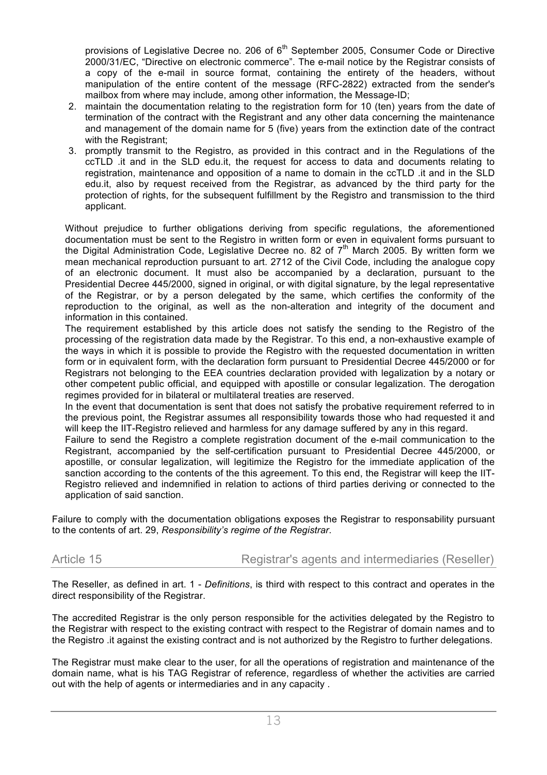provisions of Legislative Decree no. 206 of  $6<sup>th</sup>$  September 2005, Consumer Code or Directive 2000/31/EC, "Directive on electronic commerce". The e-mail notice by the Registrar consists of a copy of the e-mail in source format, containing the entirety of the headers, without manipulation of the entire content of the message (RFC-2822) extracted from the sender's mailbox from where may include, among other information, the Message-ID;

- 2. maintain the documentation relating to the registration form for 10 (ten) years from the date of termination of the contract with the Registrant and any other data concerning the maintenance and management of the domain name for 5 (five) years from the extinction date of the contract with the Registrant:
- 3. promptly transmit to the Registro, as provided in this contract and in the Regulations of the ccTLD .it and in the SLD edu.it, the request for access to data and documents relating to registration, maintenance and opposition of a name to domain in the ccTLD .it and in the SLD edu.it, also by request received from the Registrar, as advanced by the third party for the protection of rights, for the subsequent fulfillment by the Registro and transmission to the third applicant.

Without prejudice to further obligations deriving from specific regulations, the aforementioned documentation must be sent to the Registro in written form or even in equivalent forms pursuant to the Digital Administration Code, Legislative Decree no. 82 of 7<sup>th</sup> March 2005. By written form we mean mechanical reproduction pursuant to art. 2712 of the Civil Code, including the analogue copy of an electronic document. It must also be accompanied by a declaration, pursuant to the Presidential Decree 445/2000, signed in original, or with digital signature, by the legal representative of the Registrar, or by a person delegated by the same, which certifies the conformity of the reproduction to the original, as well as the non-alteration and integrity of the document and information in this contained.

The requirement established by this article does not satisfy the sending to the Registro of the processing of the registration data made by the Registrar. To this end, a non-exhaustive example of the ways in which it is possible to provide the Registro with the requested documentation in written form or in equivalent form, with the declaration form pursuant to Presidential Decree 445/2000 or for Registrars not belonging to the EEA countries declaration provided with legalization by a notary or other competent public official, and equipped with apostille or consular legalization. The derogation regimes provided for in bilateral or multilateral treaties are reserved.

In the event that documentation is sent that does not satisfy the probative requirement referred to in the previous point, the Registrar assumes all responsibility towards those who had requested it and will keep the IIT-Registro relieved and harmless for any damage suffered by any in this regard.

Failure to send the Registro a complete registration document of the e-mail communication to the Registrant, accompanied by the self-certification pursuant to Presidential Decree 445/2000, or apostille, or consular legalization, will legitimize the Registro for the immediate application of the sanction according to the contents of the this agreement. To this end, the Registrar will keep the IIT-Registro relieved and indemnified in relation to actions of third parties deriving or connected to the application of said sanction.

Failure to comply with the documentation obligations exposes the Registrar to responsability pursuant to the contents of art. 29, *Responsibility's regime of the Registrar*.

Article 15 **Registrar's agents and intermediaries (Reseller)** 

The Reseller, as defined in art. 1 - *Definitions*, is third with respect to this contract and operates in the direct responsibility of the Registrar.

The accredited Registrar is the only person responsible for the activities delegated by the Registro to the Registrar with respect to the existing contract with respect to the Registrar of domain names and to the Registro .it against the existing contract and is not authorized by the Registro to further delegations.

The Registrar must make clear to the user, for all the operations of registration and maintenance of the domain name, what is his TAG Registrar of reference, regardless of whether the activities are carried out with the help of agents or intermediaries and in any capacity .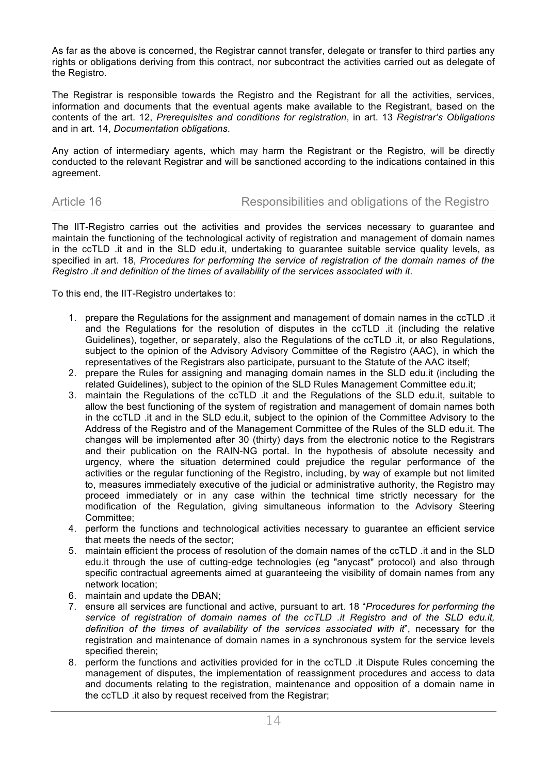As far as the above is concerned, the Registrar cannot transfer, delegate or transfer to third parties any rights or obligations deriving from this contract, nor subcontract the activities carried out as delegate of the Registro.

The Registrar is responsible towards the Registro and the Registrant for all the activities, services, information and documents that the eventual agents make available to the Registrant, based on the contents of the art. 12, *Prerequisites and conditions for registration*, in art. 13 *Registrar's Obligations*  and in art. 14, *Documentation obligations*.

Any action of intermediary agents, which may harm the Registrant or the Registro, will be directly conducted to the relevant Registrar and will be sanctioned according to the indications contained in this agreement.

# Article 16 **Responsibilities and obligations of the Registro**

The IIT-Registro carries out the activities and provides the services necessary to guarantee and maintain the functioning of the technological activity of registration and management of domain names in the ccTLD .it and in the SLD edu.it, undertaking to guarantee suitable service quality levels, as specified in art. 18, *Procedures for performing the service of registration of the domain names of the Registro .it and definition of the times of availability of the services associated with it*.

To this end, the IIT-Registro undertakes to:

- 1. prepare the Regulations for the assignment and management of domain names in the ccTLD .it and the Regulations for the resolution of disputes in the ccTLD .it (including the relative Guidelines), together, or separately, also the Regulations of the ccTLD .it, or also Regulations, subject to the opinion of the Advisory Advisory Committee of the Registro (AAC), in which the representatives of the Registrars also participate, pursuant to the Statute of the AAC itself;
- 2. prepare the Rules for assigning and managing domain names in the SLD edu.it (including the related Guidelines), subject to the opinion of the SLD Rules Management Committee edu.it;
- 3. maintain the Regulations of the ccTLD .it and the Regulations of the SLD edu.it, suitable to allow the best functioning of the system of registration and management of domain names both in the ccTLD .it and in the SLD edu.it, subject to the opinion of the Committee Advisory to the Address of the Registro and of the Management Committee of the Rules of the SLD edu.it. The changes will be implemented after 30 (thirty) days from the electronic notice to the Registrars and their publication on the RAIN-NG portal. In the hypothesis of absolute necessity and urgency, where the situation determined could prejudice the regular performance of the activities or the regular functioning of the Registro, including, by way of example but not limited to, measures immediately executive of the judicial or administrative authority, the Registro may proceed immediately or in any case within the technical time strictly necessary for the modification of the Regulation, giving simultaneous information to the Advisory Steering Committee;
- 4. perform the functions and technological activities necessary to guarantee an efficient service that meets the needs of the sector;
- 5. maintain efficient the process of resolution of the domain names of the ccTLD .it and in the SLD edu.it through the use of cutting-edge technologies (eg "anycast" protocol) and also through specific contractual agreements aimed at guaranteeing the visibility of domain names from any network location;
- 6. maintain and update the DBAN;
- 7. ensure all services are functional and active, pursuant to art. 18 "*Procedures for performing the service of registration of domain names of the ccTLD .it Registro and of the SLD edu.it, definition of the times of availability of the services associated with it*", necessary for the registration and maintenance of domain names in a synchronous system for the service levels specified therein;
- 8. perform the functions and activities provided for in the ccTLD .it Dispute Rules concerning the management of disputes, the implementation of reassignment procedures and access to data and documents relating to the registration, maintenance and opposition of a domain name in the ccTLD .it also by request received from the Registrar;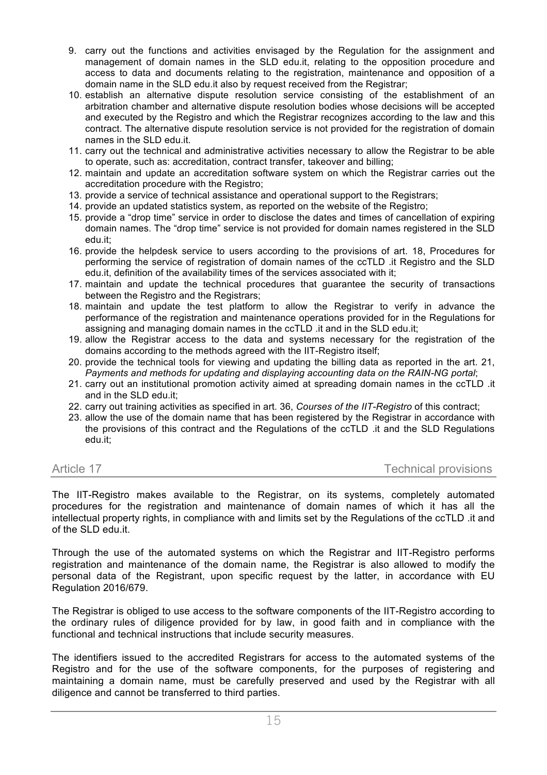- 9. carry out the functions and activities envisaged by the Regulation for the assignment and management of domain names in the SLD edu.it, relating to the opposition procedure and access to data and documents relating to the registration, maintenance and opposition of a domain name in the SLD edu.it also by request received from the Registrar;
- 10. establish an alternative dispute resolution service consisting of the establishment of an arbitration chamber and alternative dispute resolution bodies whose decisions will be accepted and executed by the Registro and which the Registrar recognizes according to the law and this contract. The alternative dispute resolution service is not provided for the registration of domain names in the SLD edu.it.
- 11. carry out the technical and administrative activities necessary to allow the Registrar to be able to operate, such as: accreditation, contract transfer, takeover and billing;
- 12. maintain and update an accreditation software system on which the Registrar carries out the accreditation procedure with the Registro;
- 13. provide a service of technical assistance and operational support to the Registrars;
- 14. provide an updated statistics system, as reported on the website of the Registro;
- 15. provide a "drop time" service in order to disclose the dates and times of cancellation of expiring domain names. The "drop time" service is not provided for domain names registered in the SLD edu.it;
- 16. provide the helpdesk service to users according to the provisions of art. 18, Procedures for performing the service of registration of domain names of the ccTLD .it Registro and the SLD edu.it, definition of the availability times of the services associated with it;
- 17. maintain and update the technical procedures that guarantee the security of transactions between the Registro and the Registrars;
- 18. maintain and update the test platform to allow the Registrar to verify in advance the performance of the registration and maintenance operations provided for in the Regulations for assigning and managing domain names in the ccTLD .it and in the SLD edu.it;
- 19. allow the Registrar access to the data and systems necessary for the registration of the domains according to the methods agreed with the IIT-Registro itself;
- 20. provide the technical tools for viewing and updating the billing data as reported in the art. 21, *Payments and methods for updating and displaying accounting data on the RAIN-NG portal*;
- 21. carry out an institutional promotion activity aimed at spreading domain names in the ccTLD .it and in the SLD edu.it;
- 22. carry out training activities as specified in art. 36, *Courses of the IIT-Registro* of this contract;
- 23. allow the use of the domain name that has been registered by the Registrar in accordance with the provisions of this contract and the Regulations of the ccTLD .it and the SLD Regulations edu.it;

### Article 17 Technical provisions

The IIT-Registro makes available to the Registrar, on its systems, completely automated procedures for the registration and maintenance of domain names of which it has all the intellectual property rights, in compliance with and limits set by the Regulations of the ccTLD .it and of the SLD edu.it.

Through the use of the automated systems on which the Registrar and IIT-Registro performs registration and maintenance of the domain name, the Registrar is also allowed to modify the personal data of the Registrant, upon specific request by the latter, in accordance with EU Regulation 2016/679.

The Registrar is obliged to use access to the software components of the IIT-Registro according to the ordinary rules of diligence provided for by law, in good faith and in compliance with the functional and technical instructions that include security measures.

The identifiers issued to the accredited Registrars for access to the automated systems of the Registro and for the use of the software components, for the purposes of registering and maintaining a domain name, must be carefully preserved and used by the Registrar with all diligence and cannot be transferred to third parties.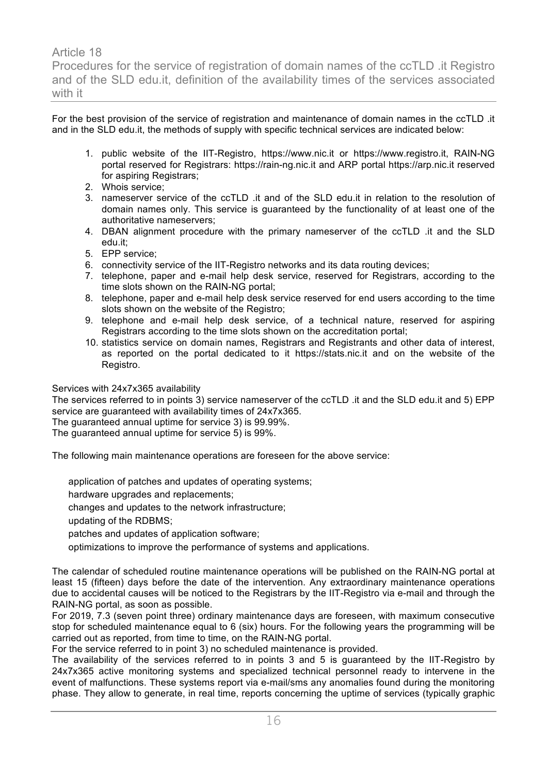Article 18 Procedures for the service of registration of domain names of the ccTLD .it Registro and of the SLD edu.it, definition of the availability times of the services associated with it

For the best provision of the service of registration and maintenance of domain names in the ccTLD .it and in the SLD edu.it, the methods of supply with specific technical services are indicated below:

- 1. public website of the IIT-Registro, https://www.nic.it or https://www.registro.it, RAIN-NG portal reserved for Registrars: https://rain-ng.nic.it and ARP portal https://arp.nic.it reserved for aspiring Registrars;
- 2. Whois service;
- 3. nameserver service of the ccTLD .it and of the SLD edu.it in relation to the resolution of domain names only. This service is guaranteed by the functionality of at least one of the authoritative nameservers;
- 4. DBAN alignment procedure with the primary nameserver of the ccTLD .it and the SLD edu.it;
- 5. EPP service;
- 6. connectivity service of the IIT-Registro networks and its data routing devices;
- 7. telephone, paper and e-mail help desk service, reserved for Registrars, according to the time slots shown on the RAIN-NG portal;
- 8. telephone, paper and e-mail help desk service reserved for end users according to the time slots shown on the website of the Registro;
- 9. telephone and e-mail help desk service, of a technical nature, reserved for aspiring Registrars according to the time slots shown on the accreditation portal;
- 10. statistics service on domain names, Registrars and Registrants and other data of interest, as reported on the portal dedicated to it https://stats.nic.it and on the website of the Registro.

Services with 24x7x365 availability

The services referred to in points 3) service nameserver of the ccTLD .it and the SLD edu.it and 5) EPP service are guaranteed with availability times of 24x7x365.

The guaranteed annual uptime for service 3) is 99.99%.

The guaranteed annual uptime for service 5) is 99%.

The following main maintenance operations are foreseen for the above service:

application of patches and updates of operating systems;

hardware upgrades and replacements;

changes and updates to the network infrastructure;

updating of the RDBMS;

patches and updates of application software;

optimizations to improve the performance of systems and applications.

The calendar of scheduled routine maintenance operations will be published on the RAIN-NG portal at least 15 (fifteen) days before the date of the intervention. Any extraordinary maintenance operations due to accidental causes will be noticed to the Registrars by the IIT-Registro via e-mail and through the RAIN-NG portal, as soon as possible.

For 2019, 7.3 (seven point three) ordinary maintenance days are foreseen, with maximum consecutive stop for scheduled maintenance equal to 6 (six) hours. For the following years the programming will be carried out as reported, from time to time, on the RAIN-NG portal.

For the service referred to in point 3) no scheduled maintenance is provided.

The availability of the services referred to in points 3 and 5 is guaranteed by the IIT-Registro by 24x7x365 active monitoring systems and specialized technical personnel ready to intervene in the event of malfunctions. These systems report via e-mail/sms any anomalies found during the monitoring phase. They allow to generate, in real time, reports concerning the uptime of services (typically graphic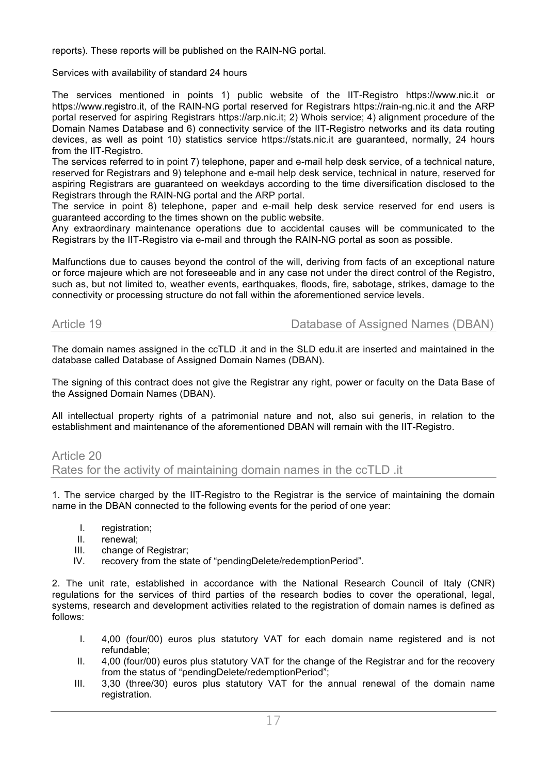reports). These reports will be published on the RAIN-NG portal.

Services with availability of standard 24 hours

The services mentioned in points 1) public website of the IIT-Registro https://www.nic.it or https://www.registro.it, of the RAIN-NG portal reserved for Registrars https://rain-ng.nic.it and the ARP portal reserved for aspiring Registrars https://arp.nic.it; 2) Whois service; 4) alignment procedure of the Domain Names Database and 6) connectivity service of the IIT-Registro networks and its data routing devices, as well as point 10) statistics service https://stats.nic.it are guaranteed, normally, 24 hours from the IIT-Registro.

The services referred to in point 7) telephone, paper and e-mail help desk service, of a technical nature, reserved for Registrars and 9) telephone and e-mail help desk service, technical in nature, reserved for aspiring Registrars are guaranteed on weekdays according to the time diversification disclosed to the Registrars through the RAIN-NG portal and the ARP portal.

The service in point 8) telephone, paper and e-mail help desk service reserved for end users is guaranteed according to the times shown on the public website.

Any extraordinary maintenance operations due to accidental causes will be communicated to the Registrars by the IIT-Registro via e-mail and through the RAIN-NG portal as soon as possible.

Malfunctions due to causes beyond the control of the will, deriving from facts of an exceptional nature or force majeure which are not foreseeable and in any case not under the direct control of the Registro, such as, but not limited to, weather events, earthquakes, floods, fire, sabotage, strikes, damage to the connectivity or processing structure do not fall within the aforementioned service levels.

Article 19 Database of Assigned Names (DBAN)

The domain names assigned in the ccTLD .it and in the SLD edu.it are inserted and maintained in the database called Database of Assigned Domain Names (DBAN).

The signing of this contract does not give the Registrar any right, power or faculty on the Data Base of the Assigned Domain Names (DBAN).

All intellectual property rights of a patrimonial nature and not, also sui generis, in relation to the establishment and maintenance of the aforementioned DBAN will remain with the IIT-Registro.

### Article 20

Rates for the activity of maintaining domain names in the ccTLD .it

1. The service charged by the IIT-Registro to the Registrar is the service of maintaining the domain name in the DBAN connected to the following events for the period of one year:

- I. registration;
- II. renewal;
- III. change of Registrar;
- IV. recovery from the state of "pendingDelete/redemptionPeriod".

2. The unit rate, established in accordance with the National Research Council of Italy (CNR) regulations for the services of third parties of the research bodies to cover the operational, legal, systems, research and development activities related to the registration of domain names is defined as follows:

- I. 4,00 (four/00) euros plus statutory VAT for each domain name registered and is not refundable;
- II. 4,00 (four/00) euros plus statutory VAT for the change of the Registrar and for the recovery from the status of "pendingDelete/redemptionPeriod";
- III. 3,30 (three/30) euros plus statutory VAT for the annual renewal of the domain name registration.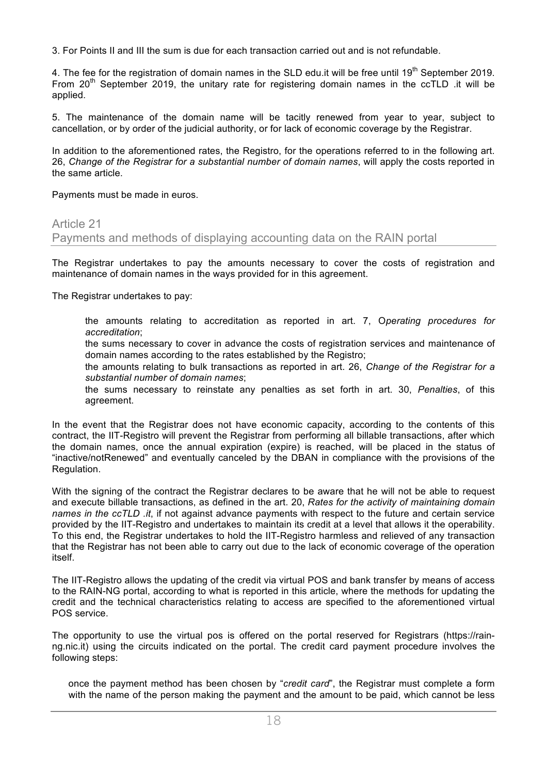3. For Points II and III the sum is due for each transaction carried out and is not refundable.

4. The fee for the registration of domain names in the SLD edu. it will be free until 19<sup>th</sup> September 2019. From 20<sup>th</sup> September 2019, the unitary rate for registering domain names in the ccTLD .it will be applied.

5. The maintenance of the domain name will be tacitly renewed from year to year, subject to cancellation, or by order of the judicial authority, or for lack of economic coverage by the Registrar.

In addition to the aforementioned rates, the Registro, for the operations referred to in the following art. 26, *Change of the Registrar for a substantial number of domain names*, will apply the costs reported in the same article.

Payments must be made in euros.

### Article 21

Payments and methods of displaying accounting data on the RAIN portal

The Registrar undertakes to pay the amounts necessary to cover the costs of registration and maintenance of domain names in the ways provided for in this agreement.

The Registrar undertakes to pay:

 the amounts relating to accreditation as reported in art. 7, O*perating procedures for accreditation*;

 the sums necessary to cover in advance the costs of registration services and maintenance of domain names according to the rates established by the Registro;

 the amounts relating to bulk transactions as reported in art. 26, *Change of the Registrar for a substantial number of domain names*;

 the sums necessary to reinstate any penalties as set forth in art. 30, *Penalties*, of this agreement.

In the event that the Registrar does not have economic capacity, according to the contents of this contract, the IIT-Registro will prevent the Registrar from performing all billable transactions, after which the domain names, once the annual expiration (expire) is reached, will be placed in the status of "inactive/notRenewed" and eventually canceled by the DBAN in compliance with the provisions of the Regulation.

With the signing of the contract the Registrar declares to be aware that he will not be able to request and execute billable transactions, as defined in the art. 20, *Rates for the activity of maintaining domain names in the ccTLD .it*, if not against advance payments with respect to the future and certain service provided by the IIT-Registro and undertakes to maintain its credit at a level that allows it the operability. To this end, the Registrar undertakes to hold the IIT-Registro harmless and relieved of any transaction that the Registrar has not been able to carry out due to the lack of economic coverage of the operation itself.

The IIT-Registro allows the updating of the credit via virtual POS and bank transfer by means of access to the RAIN-NG portal, according to what is reported in this article, where the methods for updating the credit and the technical characteristics relating to access are specified to the aforementioned virtual POS service.

The opportunity to use the virtual pos is offered on the portal reserved for Registrars (https://rainng.nic.it) using the circuits indicated on the portal. The credit card payment procedure involves the following steps:

 once the payment method has been chosen by "*credit card*", the Registrar must complete a form with the name of the person making the payment and the amount to be paid, which cannot be less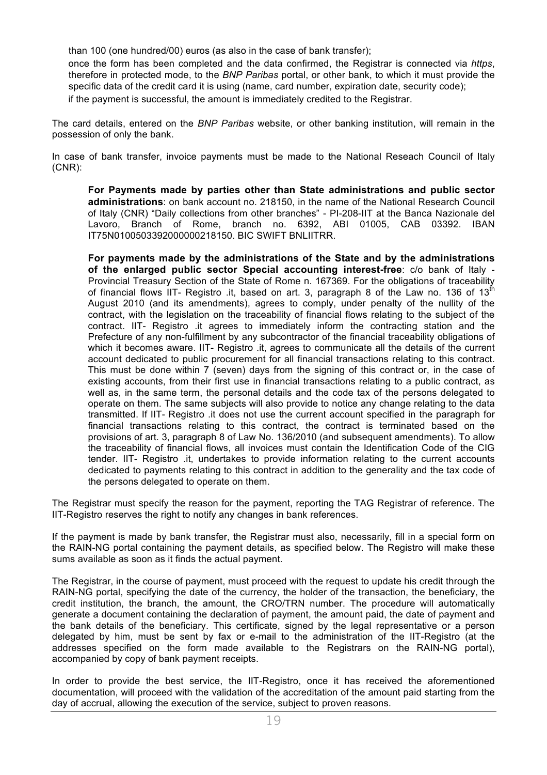than 100 (one hundred/00) euros (as also in the case of bank transfer);

 once the form has been completed and the data confirmed, the Registrar is connected via *https*, therefore in protected mode, to the *BNP Paribas* portal, or other bank, to which it must provide the specific data of the credit card it is using (name, card number, expiration date, security code); if the payment is successful, the amount is immediately credited to the Registrar.

The card details, entered on the *BNP Paribas* website, or other banking institution, will remain in the possession of only the bank.

In case of bank transfer, invoice payments must be made to the National Reseach Council of Italy (CNR):

 **For Payments made by parties other than State administrations and public sector administrations**: on bank account no. 218150, in the name of the National Research Council of Italy (CNR) "Daily collections from other branches" - PI-208-IIT at the Banca Nazionale del Lavoro, Branch of Rome, branch no. 6392, ABI 01005, CAB 03392. IBAN IT75N0100503392000000218150. BIC SWIFT BNLIITRR.

 **For payments made by the administrations of the State and by the administrations of the enlarged public sector Special accounting interest-free**: c/o bank of Italy - Provincial Treasury Section of the State of Rome n. 167369. For the obligations of traceability of financial flows IIT- Registro .it, based on art. 3, paragraph 8 of the Law no. 136 of  $13<sup>fh</sup>$ August 2010 (and its amendments), agrees to comply, under penalty of the nullity of the contract, with the legislation on the traceability of financial flows relating to the subject of the contract. IIT- Registro .it agrees to immediately inform the contracting station and the Prefecture of any non-fulfillment by any subcontractor of the financial traceability obligations of which it becomes aware. IIT- Registro .it, agrees to communicate all the details of the current account dedicated to public procurement for all financial transactions relating to this contract. This must be done within 7 (seven) days from the signing of this contract or, in the case of existing accounts, from their first use in financial transactions relating to a public contract, as well as, in the same term, the personal details and the code tax of the persons delegated to operate on them. The same subjects will also provide to notice any change relating to the data transmitted. If IIT- Registro .it does not use the current account specified in the paragraph for financial transactions relating to this contract, the contract is terminated based on the provisions of art. 3, paragraph 8 of Law No. 136/2010 (and subsequent amendments). To allow the traceability of financial flows, all invoices must contain the Identification Code of the CIG tender. IIT- Registro .it, undertakes to provide information relating to the current accounts dedicated to payments relating to this contract in addition to the generality and the tax code of the persons delegated to operate on them.

The Registrar must specify the reason for the payment, reporting the TAG Registrar of reference. The IIT-Registro reserves the right to notify any changes in bank references.

If the payment is made by bank transfer, the Registrar must also, necessarily, fill in a special form on the RAIN-NG portal containing the payment details, as specified below. The Registro will make these sums available as soon as it finds the actual payment.

The Registrar, in the course of payment, must proceed with the request to update his credit through the RAIN-NG portal, specifying the date of the currency, the holder of the transaction, the beneficiary, the credit institution, the branch, the amount, the CRO/TRN number. The procedure will automatically generate a document containing the declaration of payment, the amount paid, the date of payment and the bank details of the beneficiary. This certificate, signed by the legal representative or a person delegated by him, must be sent by fax or e-mail to the administration of the IIT-Registro (at the addresses specified on the form made available to the Registrars on the RAIN-NG portal), accompanied by copy of bank payment receipts.

In order to provide the best service, the IIT-Registro, once it has received the aforementioned documentation, will proceed with the validation of the accreditation of the amount paid starting from the day of accrual, allowing the execution of the service, subject to proven reasons.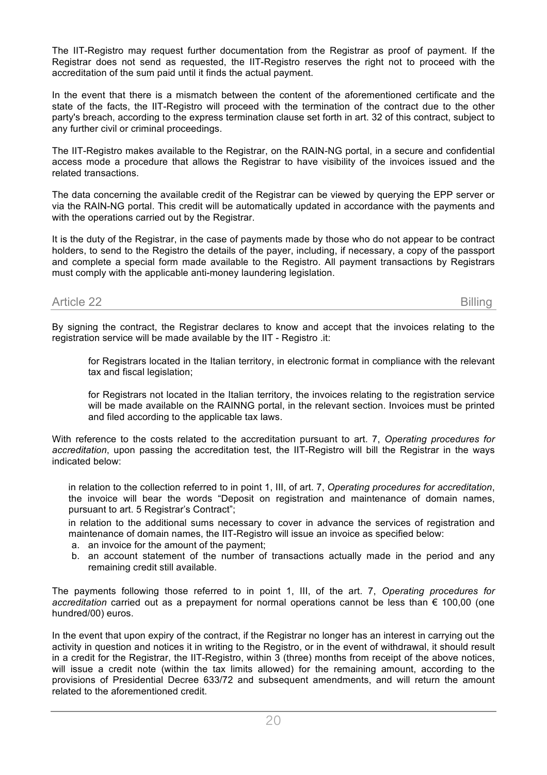The IIT-Registro may request further documentation from the Registrar as proof of payment. If the Registrar does not send as requested, the IIT-Registro reserves the right not to proceed with the accreditation of the sum paid until it finds the actual payment.

In the event that there is a mismatch between the content of the aforementioned certificate and the state of the facts, the IIT-Registro will proceed with the termination of the contract due to the other party's breach, according to the express termination clause set forth in art. 32 of this contract, subject to any further civil or criminal proceedings.

The IIT-Registro makes available to the Registrar, on the RAIN-NG portal, in a secure and confidential access mode a procedure that allows the Registrar to have visibility of the invoices issued and the related transactions.

The data concerning the available credit of the Registrar can be viewed by querying the EPP server or via the RAIN-NG portal. This credit will be automatically updated in accordance with the payments and with the operations carried out by the Registrar.

It is the duty of the Registrar, in the case of payments made by those who do not appear to be contract holders, to send to the Registro the details of the payer, including, if necessary, a copy of the passport and complete a special form made available to the Registro. All payment transactions by Registrars must comply with the applicable anti-money laundering legislation.

# Article 22 Billing

By signing the contract, the Registrar declares to know and accept that the invoices relating to the registration service will be made available by the IIT - Registro .it:

 for Registrars located in the Italian territory, in electronic format in compliance with the relevant tax and fiscal legislation;

 for Registrars not located in the Italian territory, the invoices relating to the registration service will be made available on the RAINNG portal, in the relevant section. Invoices must be printed and filed according to the applicable tax laws.

With reference to the costs related to the accreditation pursuant to art. 7, *Operating procedures for accreditation*, upon passing the accreditation test, the IIT-Registro will bill the Registrar in the ways indicated below:

 in relation to the collection referred to in point 1, III, of art. 7, *Operating procedures for accreditation*, the invoice will bear the words "Deposit on registration and maintenance of domain names, pursuant to art. 5 Registrar's Contract";

 in relation to the additional sums necessary to cover in advance the services of registration and maintenance of domain names, the IIT-Registro will issue an invoice as specified below:

- a. an invoice for the amount of the payment;
- b. an account statement of the number of transactions actually made in the period and any remaining credit still available.

The payments following those referred to in point 1, III, of the art. 7, *Operating procedures for accreditation* carried out as a prepayment for normal operations cannot be less than € 100,00 (one hundred/00) euros.

In the event that upon expiry of the contract, if the Registrar no longer has an interest in carrying out the activity in question and notices it in writing to the Registro, or in the event of withdrawal, it should result in a credit for the Registrar, the IIT-Registro, within 3 (three) months from receipt of the above notices, will issue a credit note (within the tax limits allowed) for the remaining amount, according to the provisions of Presidential Decree 633/72 and subsequent amendments, and will return the amount related to the aforementioned credit.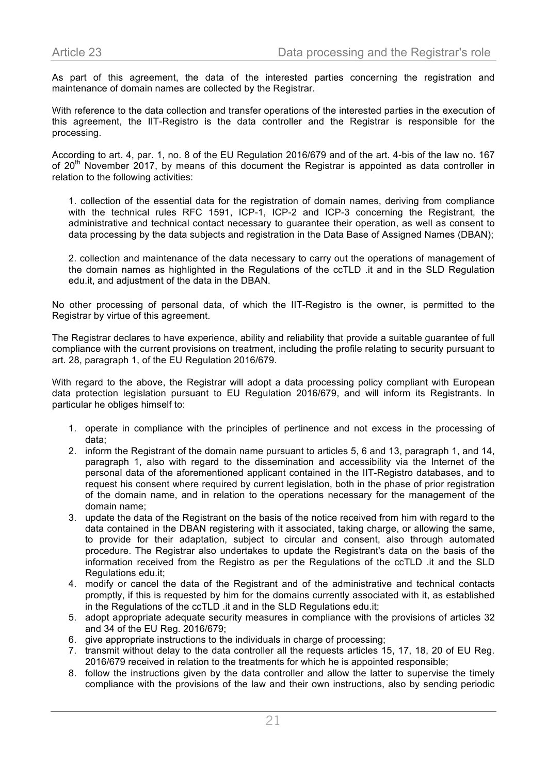As part of this agreement, the data of the interested parties concerning the registration and maintenance of domain names are collected by the Registrar.

With reference to the data collection and transfer operations of the interested parties in the execution of this agreement, the IIT-Registro is the data controller and the Registrar is responsible for the processing.

According to art. 4, par. 1, no. 8 of the EU Regulation 2016/679 and of the art. 4-bis of the law no. 167 of 20<sup>th</sup> November 2017, by means of this document the Registrar is appointed as data controller in relation to the following activities:

1. collection of the essential data for the registration of domain names, deriving from compliance with the technical rules RFC 1591, ICP-1, ICP-2 and ICP-3 concerning the Registrant, the administrative and technical contact necessary to guarantee their operation, as well as consent to data processing by the data subjects and registration in the Data Base of Assigned Names (DBAN);

2. collection and maintenance of the data necessary to carry out the operations of management of the domain names as highlighted in the Regulations of the ccTLD .it and in the SLD Regulation edu.it, and adjustment of the data in the DBAN.

No other processing of personal data, of which the IIT-Registro is the owner, is permitted to the Registrar by virtue of this agreement.

The Registrar declares to have experience, ability and reliability that provide a suitable guarantee of full compliance with the current provisions on treatment, including the profile relating to security pursuant to art. 28, paragraph 1, of the EU Regulation 2016/679.

With regard to the above, the Registrar will adopt a data processing policy compliant with European data protection legislation pursuant to EU Regulation 2016/679, and will inform its Registrants. In particular he obliges himself to:

- 1. operate in compliance with the principles of pertinence and not excess in the processing of data;
- 2. inform the Registrant of the domain name pursuant to articles 5, 6 and 13, paragraph 1, and 14, paragraph 1, also with regard to the dissemination and accessibility via the Internet of the personal data of the aforementioned applicant contained in the IIT-Registro databases, and to request his consent where required by current legislation, both in the phase of prior registration of the domain name, and in relation to the operations necessary for the management of the domain name;
- 3. update the data of the Registrant on the basis of the notice received from him with regard to the data contained in the DBAN registering with it associated, taking charge, or allowing the same, to provide for their adaptation, subject to circular and consent, also through automated procedure. The Registrar also undertakes to update the Registrant's data on the basis of the information received from the Registro as per the Regulations of the ccTLD .it and the SLD Regulations edu.it;
- 4. modify or cancel the data of the Registrant and of the administrative and technical contacts promptly, if this is requested by him for the domains currently associated with it, as established in the Regulations of the ccTLD .it and in the SLD Regulations edu.it;
- 5. adopt appropriate adequate security measures in compliance with the provisions of articles 32 and 34 of the EU Reg. 2016/679;
- 6. give appropriate instructions to the individuals in charge of processing;
- 7. transmit without delay to the data controller all the requests articles 15, 17, 18, 20 of EU Reg. 2016/679 received in relation to the treatments for which he is appointed responsible;
- 8. follow the instructions given by the data controller and allow the latter to supervise the timely compliance with the provisions of the law and their own instructions, also by sending periodic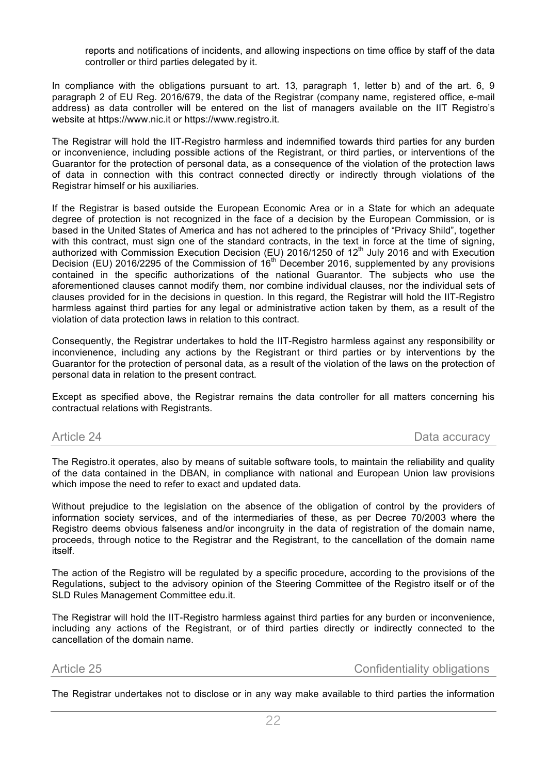reports and notifications of incidents, and allowing inspections on time office by staff of the data controller or third parties delegated by it.

In compliance with the obligations pursuant to art. 13, paragraph 1, letter b) and of the art. 6, 9 paragraph 2 of EU Reg. 2016/679, the data of the Registrar (company name, registered office, e-mail address) as data controller will be entered on the list of managers available on the IIT Registro's website at https://www.nic.it or https://www.registro.it.

The Registrar will hold the IIT-Registro harmless and indemnified towards third parties for any burden or inconvenience, including possible actions of the Registrant, or third parties, or interventions of the Guarantor for the protection of personal data, as a consequence of the violation of the protection laws of data in connection with this contract connected directly or indirectly through violations of the Registrar himself or his auxiliaries.

If the Registrar is based outside the European Economic Area or in a State for which an adequate degree of protection is not recognized in the face of a decision by the European Commission, or is based in the United States of America and has not adhered to the principles of "Privacy Shild", together with this contract, must sign one of the standard contracts, in the text in force at the time of signing, authorized with Commission Execution Decision (EU) 2016/1250 of 12<sup>th</sup> July 2016 and with Execution Decision (EU) 2016/2295 of the Commission of 16th December 2016, supplemented by any provisions contained in the specific authorizations of the national Guarantor. The subjects who use the aforementioned clauses cannot modify them, nor combine individual clauses, nor the individual sets of clauses provided for in the decisions in question. In this regard, the Registrar will hold the IIT-Registro harmless against third parties for any legal or administrative action taken by them, as a result of the violation of data protection laws in relation to this contract.

Consequently, the Registrar undertakes to hold the IIT-Registro harmless against any responsibility or inconvienence, including any actions by the Registrant or third parties or by interventions by the Guarantor for the protection of personal data, as a result of the violation of the laws on the protection of personal data in relation to the present contract.

Except as specified above, the Registrar remains the data controller for all matters concerning his contractual relations with Registrants.

Article 24 Data accuracy Article 24 Data accuracy

The Registro.it operates, also by means of suitable software tools, to maintain the reliability and quality of the data contained in the DBAN, in compliance with national and European Union law provisions which impose the need to refer to exact and updated data.

Without prejudice to the legislation on the absence of the obligation of control by the providers of information society services, and of the intermediaries of these, as per Decree 70/2003 where the Registro deems obvious falseness and/or incongruity in the data of registration of the domain name, proceeds, through notice to the Registrar and the Registrant, to the cancellation of the domain name itself.

The action of the Registro will be regulated by a specific procedure, according to the provisions of the Regulations, subject to the advisory opinion of the Steering Committee of the Registro itself or of the SLD Rules Management Committee edu.it.

The Registrar will hold the IIT-Registro harmless against third parties for any burden or inconvenience, including any actions of the Registrant, or of third parties directly or indirectly connected to the cancellation of the domain name.

Article 25 **Confidentiality obligations** 

The Registrar undertakes not to disclose or in any way make available to third parties the information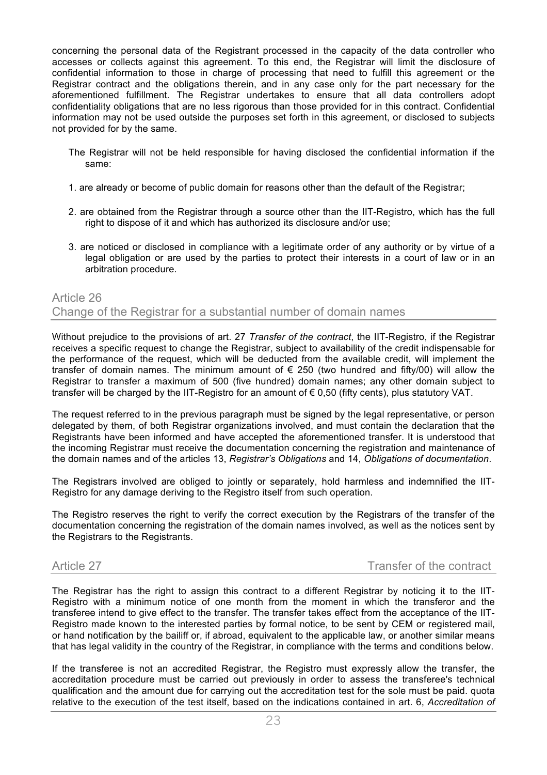concerning the personal data of the Registrant processed in the capacity of the data controller who accesses or collects against this agreement. To this end, the Registrar will limit the disclosure of confidential information to those in charge of processing that need to fulfill this agreement or the Registrar contract and the obligations therein, and in any case only for the part necessary for the aforementioned fulfillment. The Registrar undertakes to ensure that all data controllers adopt confidentiality obligations that are no less rigorous than those provided for in this contract. Confidential information may not be used outside the purposes set forth in this agreement, or disclosed to subjects not provided for by the same.

- The Registrar will not be held responsible for having disclosed the confidential information if the same:
- 1. are already or become of public domain for reasons other than the default of the Registrar;
- 2. are obtained from the Registrar through a source other than the IIT-Registro, which has the full right to dispose of it and which has authorized its disclosure and/or use;
- 3. are noticed or disclosed in compliance with a legitimate order of any authority or by virtue of a legal obligation or are used by the parties to protect their interests in a court of law or in an arbitration procedure.

# Article 26 Change of the Registrar for a substantial number of domain names

Without prejudice to the provisions of art. 27 *Transfer of the contract*, the IIT-Registro, if the Registrar receives a specific request to change the Registrar, subject to availability of the credit indispensable for the performance of the request, which will be deducted from the available credit, will implement the transfer of domain names. The minimum amount of  $\epsilon$  250 (two hundred and fifty/00) will allow the Registrar to transfer a maximum of 500 (five hundred) domain names; any other domain subject to transfer will be charged by the IIT-Registro for an amount of  $\epsilon$  0,50 (fifty cents), plus statutory VAT.

The request referred to in the previous paragraph must be signed by the legal representative, or person delegated by them, of both Registrar organizations involved, and must contain the declaration that the Registrants have been informed and have accepted the aforementioned transfer. It is understood that the incoming Registrar must receive the documentation concerning the registration and maintenance of the domain names and of the articles 13, *Registrar's Obligations* and 14, *Obligations of documentation*.

The Registrars involved are obliged to jointly or separately, hold harmless and indemnified the IIT-Registro for any damage deriving to the Registro itself from such operation.

The Registro reserves the right to verify the correct execution by the Registrars of the transfer of the documentation concerning the registration of the domain names involved, as well as the notices sent by the Registrars to the Registrants.

Article 27 Transfer of the contract

The Registrar has the right to assign this contract to a different Registrar by noticing it to the IIT-Registro with a minimum notice of one month from the moment in which the transferor and the transferee intend to give effect to the transfer. The transfer takes effect from the acceptance of the IIT-Registro made known to the interested parties by formal notice, to be sent by CEM or registered mail, or hand notification by the bailiff or, if abroad, equivalent to the applicable law, or another similar means that has legal validity in the country of the Registrar, in compliance with the terms and conditions below.

If the transferee is not an accredited Registrar, the Registro must expressly allow the transfer, the accreditation procedure must be carried out previously in order to assess the transferee's technical qualification and the amount due for carrying out the accreditation test for the sole must be paid. quota relative to the execution of the test itself, based on the indications contained in art. 6, *Accreditation of*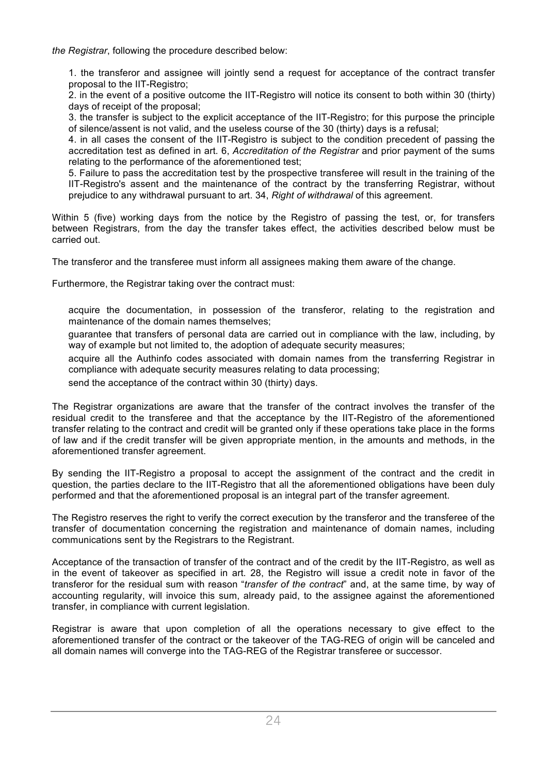*the Registrar*, following the procedure described below:

1. the transferor and assignee will jointly send a request for acceptance of the contract transfer proposal to the IIT-Registro;

2. in the event of a positive outcome the IIT-Registro will notice its consent to both within 30 (thirty) days of receipt of the proposal;

3. the transfer is subject to the explicit acceptance of the IIT-Registro; for this purpose the principle of silence/assent is not valid, and the useless course of the 30 (thirty) days is a refusal;

4. in all cases the consent of the IIT-Registro is subject to the condition precedent of passing the accreditation test as defined in art. 6, *Accreditation of the Registrar* and prior payment of the sums relating to the performance of the aforementioned test;

5. Failure to pass the accreditation test by the prospective transferee will result in the training of the IIT-Registro's assent and the maintenance of the contract by the transferring Registrar, without prejudice to any withdrawal pursuant to art. 34, *Right of withdrawal* of this agreement.

Within 5 (five) working days from the notice by the Registro of passing the test, or, for transfers between Registrars, from the day the transfer takes effect, the activities described below must be carried out.

The transferor and the transferee must inform all assignees making them aware of the change.

Furthermore, the Registrar taking over the contract must:

 acquire the documentation, in possession of the transferor, relating to the registration and maintenance of the domain names themselves;

 guarantee that transfers of personal data are carried out in compliance with the law, including, by way of example but not limited to, the adoption of adequate security measures;

 acquire all the Authinfo codes associated with domain names from the transferring Registrar in compliance with adequate security measures relating to data processing;

send the acceptance of the contract within 30 (thirty) days.

The Registrar organizations are aware that the transfer of the contract involves the transfer of the residual credit to the transferee and that the acceptance by the IIT-Registro of the aforementioned transfer relating to the contract and credit will be granted only if these operations take place in the forms of law and if the credit transfer will be given appropriate mention, in the amounts and methods, in the aforementioned transfer agreement.

By sending the IIT-Registro a proposal to accept the assignment of the contract and the credit in question, the parties declare to the IIT-Registro that all the aforementioned obligations have been duly performed and that the aforementioned proposal is an integral part of the transfer agreement.

The Registro reserves the right to verify the correct execution by the transferor and the transferee of the transfer of documentation concerning the registration and maintenance of domain names, including communications sent by the Registrars to the Registrant.

Acceptance of the transaction of transfer of the contract and of the credit by the IIT-Registro, as well as in the event of takeover as specified in art. 28, the Registro will issue a credit note in favor of the transferor for the residual sum with reason "*transfer of the contract*" and, at the same time, by way of accounting regularity, will invoice this sum, already paid, to the assignee against the aforementioned transfer, in compliance with current legislation.

Registrar is aware that upon completion of all the operations necessary to give effect to the aforementioned transfer of the contract or the takeover of the TAG-REG of origin will be canceled and all domain names will converge into the TAG-REG of the Registrar transferee or successor.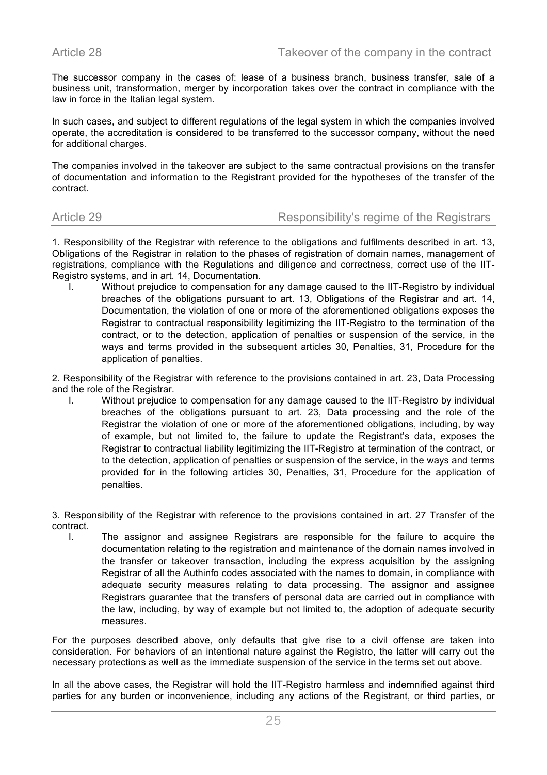The successor company in the cases of: lease of a business branch, business transfer, sale of a business unit, transformation, merger by incorporation takes over the contract in compliance with the law in force in the Italian legal system.

In such cases, and subject to different regulations of the legal system in which the companies involved operate, the accreditation is considered to be transferred to the successor company, without the need for additional charges.

The companies involved in the takeover are subject to the same contractual provisions on the transfer of documentation and information to the Registrant provided for the hypotheses of the transfer of the contract.

### Article 29 Responsibility's regime of the Registrars

1. Responsibility of the Registrar with reference to the obligations and fulfilments described in art. 13, Obligations of the Registrar in relation to the phases of registration of domain names, management of registrations, compliance with the Regulations and diligence and correctness, correct use of the IIT-Registro systems, and in art. 14, Documentation.

I. Without prejudice to compensation for any damage caused to the IIT-Registro by individual breaches of the obligations pursuant to art. 13, Obligations of the Registrar and art. 14, Documentation, the violation of one or more of the aforementioned obligations exposes the Registrar to contractual responsibility legitimizing the IIT-Registro to the termination of the contract, or to the detection, application of penalties or suspension of the service, in the ways and terms provided in the subsequent articles 30, Penalties, 31, Procedure for the application of penalties.

2. Responsibility of the Registrar with reference to the provisions contained in art. 23, Data Processing and the role of the Registrar.

I. Without prejudice to compensation for any damage caused to the IIT-Registro by individual breaches of the obligations pursuant to art. 23, Data processing and the role of the Registrar the violation of one or more of the aforementioned obligations, including, by way of example, but not limited to, the failure to update the Registrant's data, exposes the Registrar to contractual liability legitimizing the IIT-Registro at termination of the contract, or to the detection, application of penalties or suspension of the service, in the ways and terms provided for in the following articles 30, Penalties, 31, Procedure for the application of penalties.

3. Responsibility of the Registrar with reference to the provisions contained in art. 27 Transfer of the contract.

I. The assignor and assignee Registrars are responsible for the failure to acquire the documentation relating to the registration and maintenance of the domain names involved in the transfer or takeover transaction, including the express acquisition by the assigning Registrar of all the Authinfo codes associated with the names to domain, in compliance with adequate security measures relating to data processing. The assignor and assignee Registrars guarantee that the transfers of personal data are carried out in compliance with the law, including, by way of example but not limited to, the adoption of adequate security measures.

For the purposes described above, only defaults that give rise to a civil offense are taken into consideration. For behaviors of an intentional nature against the Registro, the latter will carry out the necessary protections as well as the immediate suspension of the service in the terms set out above.

In all the above cases, the Registrar will hold the IIT-Registro harmless and indemnified against third parties for any burden or inconvenience, including any actions of the Registrant, or third parties, or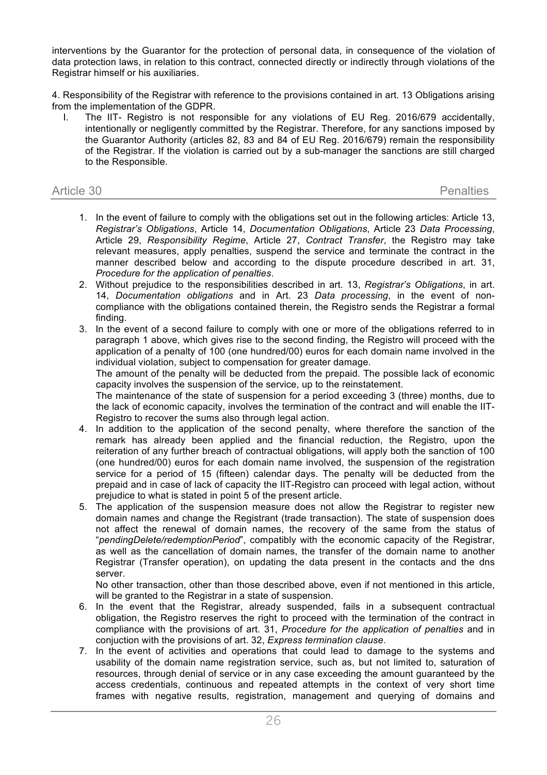interventions by the Guarantor for the protection of personal data, in consequence of the violation of data protection laws, in relation to this contract, connected directly or indirectly through violations of the Registrar himself or his auxiliaries.

4. Responsibility of the Registrar with reference to the provisions contained in art. 13 Obligations arising from the implementation of the GDPR.

I. The IIT- Registro is not responsible for any violations of EU Reg. 2016/679 accidentally, intentionally or negligently committed by the Registrar. Therefore, for any sanctions imposed by the Guarantor Authority (articles 82, 83 and 84 of EU Reg. 2016/679) remain the responsibility of the Registrar. If the violation is carried out by a sub-manager the sanctions are still charged to the Responsible.

| Article 30 | <b>Penalties</b> |
|------------|------------------|
|------------|------------------|

- 1. In the event of failure to comply with the obligations set out in the following articles: Article 13, *Registrar's Obligations*, Article 14, *Documentation Obligations*, Article 23 *Data Processing*, Article 29, *Responsibility Regime*, Article 27, *Contract Transfer*, the Registro may take relevant measures, apply penalties, suspend the service and terminate the contract in the manner described below and according to the dispute procedure described in art. 31, *Procedure for the application of penalties*.
- 2. Without prejudice to the responsibilities described in art. 13, *Registrar's Obligations*, in art. 14, *Documentation obligations* and in Art. 23 *Data processing*, in the event of noncompliance with the obligations contained therein, the Registro sends the Registrar a formal finding.
- 3. In the event of a second failure to comply with one or more of the obligations referred to in paragraph 1 above, which gives rise to the second finding, the Registro will proceed with the application of a penalty of 100 (one hundred/00) euros for each domain name involved in the individual violation, subject to compensation for greater damage.

The amount of the penalty will be deducted from the prepaid. The possible lack of economic capacity involves the suspension of the service, up to the reinstatement.

The maintenance of the state of suspension for a period exceeding 3 (three) months, due to the lack of economic capacity, involves the termination of the contract and will enable the IIT-Registro to recover the sums also through legal action.

- 4. In addition to the application of the second penalty, where therefore the sanction of the remark has already been applied and the financial reduction, the Registro, upon the reiteration of any further breach of contractual obligations, will apply both the sanction of 100 (one hundred/00) euros for each domain name involved, the suspension of the registration service for a period of 15 (fifteen) calendar days. The penalty will be deducted from the prepaid and in case of lack of capacity the IIT-Registro can proceed with legal action, without prejudice to what is stated in point 5 of the present article.
- 5. The application of the suspension measure does not allow the Registrar to register new domain names and change the Registrant (trade transaction). The state of suspension does not affect the renewal of domain names, the recovery of the same from the status of "*pendingDelete/redemptionPeriod*", compatibly with the economic capacity of the Registrar, as well as the cancellation of domain names, the transfer of the domain name to another Registrar (Transfer operation), on updating the data present in the contacts and the dns server.

No other transaction, other than those described above, even if not mentioned in this article, will be granted to the Registrar in a state of suspension.

- 6. In the event that the Registrar, already suspended, fails in a subsequent contractual obligation, the Registro reserves the right to proceed with the termination of the contract in compliance with the provisions of art. 31, *Procedure for the application of penalties* and in conjuction with the provisions of art. 32, *Express termination clause*.
- 7. In the event of activities and operations that could lead to damage to the systems and usability of the domain name registration service, such as, but not limited to, saturation of resources, through denial of service or in any case exceeding the amount guaranteed by the access credentials, continuous and repeated attempts in the context of very short time frames with negative results, registration, management and querying of domains and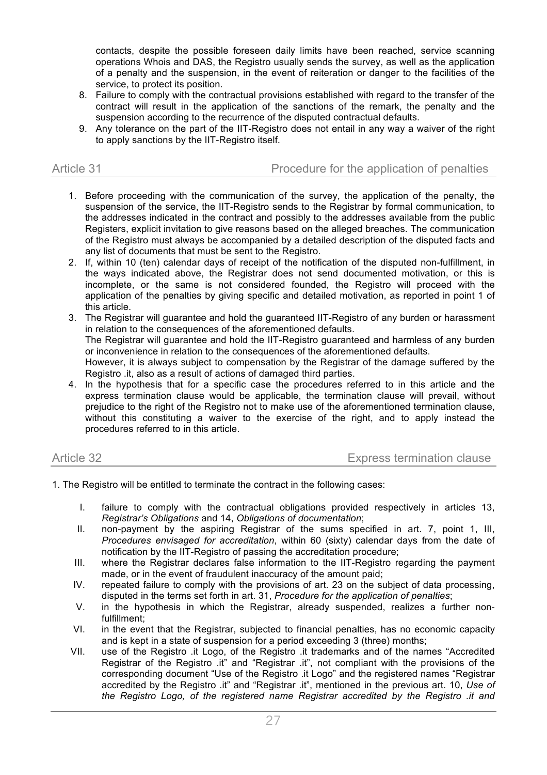contacts, despite the possible foreseen daily limits have been reached, service scanning operations Whois and DAS, the Registro usually sends the survey, as well as the application of a penalty and the suspension, in the event of reiteration or danger to the facilities of the service, to protect its position.

- 8. Failure to comply with the contractual provisions established with regard to the transfer of the contract will result in the application of the sanctions of the remark, the penalty and the suspension according to the recurrence of the disputed contractual defaults.
- 9. Any tolerance on the part of the IIT-Registro does not entail in any way a waiver of the right to apply sanctions by the IIT-Registro itself.

| Article 31 | Procedure for the application of penalties |
|------------|--------------------------------------------|
|            |                                            |

- 1. Before proceeding with the communication of the survey, the application of the penalty, the suspension of the service, the IIT-Registro sends to the Registrar by formal communication, to the addresses indicated in the contract and possibly to the addresses available from the public Registers, explicit invitation to give reasons based on the alleged breaches. The communication of the Registro must always be accompanied by a detailed description of the disputed facts and any list of documents that must be sent to the Registro.
- 2. If, within 10 (ten) calendar days of receipt of the notification of the disputed non-fulfillment, in the ways indicated above, the Registrar does not send documented motivation, or this is incomplete, or the same is not considered founded, the Registro will proceed with the application of the penalties by giving specific and detailed motivation, as reported in point 1 of this article.
- 3. The Registrar will guarantee and hold the guaranteed IIT-Registro of any burden or harassment in relation to the consequences of the aforementioned defaults. The Registrar will guarantee and hold the IIT-Registro guaranteed and harmless of any burden or inconvenience in relation to the consequences of the aforementioned defaults. However, it is always subject to compensation by the Registrar of the damage suffered by the Registro .it, also as a result of actions of damaged third parties.
- 4. In the hypothesis that for a specific case the procedures referred to in this article and the express termination clause would be applicable, the termination clause will prevail, without prejudice to the right of the Registro not to make use of the aforementioned termination clause, without this constituting a waiver to the exercise of the right, and to apply instead the procedures referred to in this article.

| Article 32 | <b>Express termination clause</b> |
|------------|-----------------------------------|
|------------|-----------------------------------|

- 1. The Registro will be entitled to terminate the contract in the following cases:
	- I. failure to comply with the contractual obligations provided respectively in articles 13, *Registrar's Obligations* and 14, *Obligations of documentation*;
	- II. non-payment by the aspiring Registrar of the sums specified in art. 7, point 1, III, *Procedures envisaged for accreditation*, within 60 (sixty) calendar days from the date of notification by the IIT-Registro of passing the accreditation procedure;
	- III. where the Registrar declares false information to the IIT-Registro regarding the payment made, or in the event of fraudulent inaccuracy of the amount paid;
	- IV. repeated failure to comply with the provisions of art. 23 on the subject of data processing, disputed in the terms set forth in art. 31, *Procedure for the application of penalties*;
	- V. in the hypothesis in which the Registrar, already suspended, realizes a further nonfulfillment;
	- VI. in the event that the Registrar, subjected to financial penalties, has no economic capacity and is kept in a state of suspension for a period exceeding 3 (three) months;
	- VII. use of the Registro .it Logo, of the Registro .it trademarks and of the names "Accredited Registrar of the Registro .it" and "Registrar .it", not compliant with the provisions of the corresponding document "Use of the Registro .it Logo" and the registered names "Registrar accredited by the Registro .it" and "Registrar .it", mentioned in the previous art. 10, *Use of the Registro Logo, of the registered name Registrar accredited by the Registro .it and*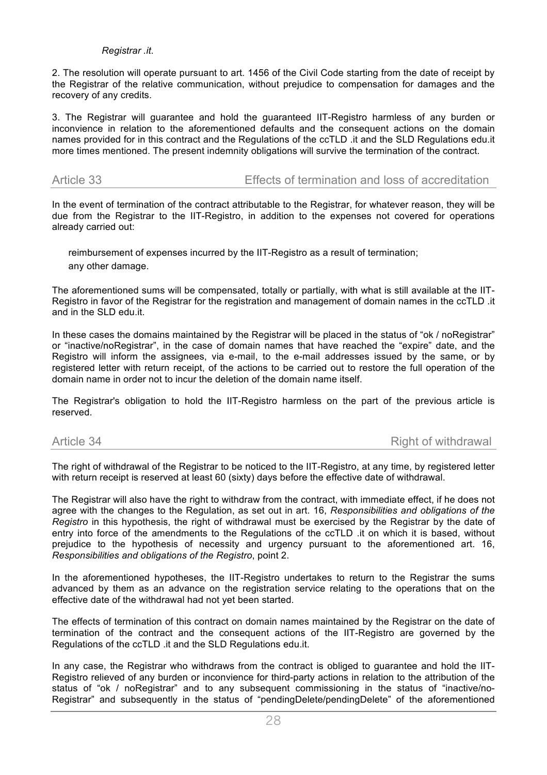### *Registrar .it*.

2. The resolution will operate pursuant to art. 1456 of the Civil Code starting from the date of receipt by the Registrar of the relative communication, without prejudice to compensation for damages and the recovery of any credits.

3. The Registrar will guarantee and hold the guaranteed IIT-Registro harmless of any burden or inconvience in relation to the aforementioned defaults and the consequent actions on the domain names provided for in this contract and the Regulations of the ccTLD .it and the SLD Regulations edu.it more times mentioned. The present indemnity obligations will survive the termination of the contract.

Article 33 Effects of termination and loss of accreditation

In the event of termination of the contract attributable to the Registrar, for whatever reason, they will be due from the Registrar to the IIT-Registro, in addition to the expenses not covered for operations already carried out:

 reimbursement of expenses incurred by the IIT-Registro as a result of termination; any other damage.

The aforementioned sums will be compensated, totally or partially, with what is still available at the IIT-Registro in favor of the Registrar for the registration and management of domain names in the ccTLD .it and in the SLD edu.it.

In these cases the domains maintained by the Registrar will be placed in the status of "ok / noRegistrar" or "inactive/noRegistrar", in the case of domain names that have reached the "expire" date, and the Registro will inform the assignees, via e-mail, to the e-mail addresses issued by the same, or by registered letter with return receipt, of the actions to be carried out to restore the full operation of the domain name in order not to incur the deletion of the domain name itself.

The Registrar's obligation to hold the IIT-Registro harmless on the part of the previous article is reserved.

Article 34 Right of withdrawal

The right of withdrawal of the Registrar to be noticed to the IIT-Registro, at any time, by registered letter with return receipt is reserved at least 60 (sixty) days before the effective date of withdrawal.

The Registrar will also have the right to withdraw from the contract, with immediate effect, if he does not agree with the changes to the Regulation, as set out in art. 16, *Responsibilities and obligations of the Registro* in this hypothesis, the right of withdrawal must be exercised by the Registrar by the date of entry into force of the amendments to the Regulations of the ccTLD .it on which it is based, without prejudice to the hypothesis of necessity and urgency pursuant to the aforementioned art. 16, *Responsibilities and obligations of the Registro*, point 2.

In the aforementioned hypotheses, the IIT-Registro undertakes to return to the Registrar the sums advanced by them as an advance on the registration service relating to the operations that on the effective date of the withdrawal had not yet been started.

The effects of termination of this contract on domain names maintained by the Registrar on the date of termination of the contract and the consequent actions of the IIT-Registro are governed by the Regulations of the ccTLD .it and the SLD Regulations edu.it.

In any case, the Registrar who withdraws from the contract is obliged to guarantee and hold the IIT-Registro relieved of any burden or inconvience for third-party actions in relation to the attribution of the status of "ok / noRegistrar" and to any subsequent commissioning in the status of "inactive/no-Registrar" and subsequently in the status of "pendingDelete/pendingDelete" of the aforementioned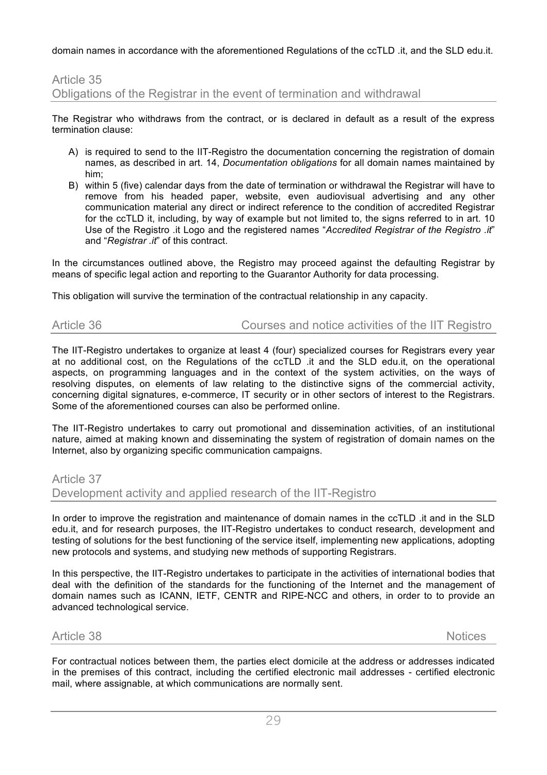domain names in accordance with the aforementioned Regulations of the ccTLD .it, and the SLD edu.it.

# Article 35 Obligations of the Registrar in the event of termination and withdrawal

The Registrar who withdraws from the contract, or is declared in default as a result of the express termination clause:

- A) is required to send to the IIT-Registro the documentation concerning the registration of domain names, as described in art. 14, *Documentation obligations* for all domain names maintained by him;
- B) within 5 (five) calendar days from the date of termination or withdrawal the Registrar will have to remove from his headed paper, website, even audiovisual advertising and any other communication material any direct or indirect reference to the condition of accredited Registrar for the ccTLD it, including, by way of example but not limited to, the signs referred to in art. 10 Use of the Registro .it Logo and the registered names "*Accredited Registrar of the Registro .it*" and "*Registrar .it*" of this contract.

In the circumstances outlined above, the Registro may proceed against the defaulting Registrar by means of specific legal action and reporting to the Guarantor Authority for data processing.

This obligation will survive the termination of the contractual relationship in any capacity.

# Article 36 Courses and notice activities of the IIT Registro

The IIT-Registro undertakes to organize at least 4 (four) specialized courses for Registrars every year at no additional cost, on the Regulations of the ccTLD .it and the SLD edu.it, on the operational aspects, on programming languages and in the context of the system activities, on the ways of resolving disputes, on elements of law relating to the distinctive signs of the commercial activity, concerning digital signatures, e-commerce, IT security or in other sectors of interest to the Registrars. Some of the aforementioned courses can also be performed online.

The IIT-Registro undertakes to carry out promotional and dissemination activities, of an institutional nature, aimed at making known and disseminating the system of registration of domain names on the Internet, also by organizing specific communication campaigns.

Article 37

Development activity and applied research of the IIT-Registro

In order to improve the registration and maintenance of domain names in the ccTLD .it and in the SLD edu.it, and for research purposes, the IIT-Registro undertakes to conduct research, development and testing of solutions for the best functioning of the service itself, implementing new applications, adopting new protocols and systems, and studying new methods of supporting Registrars.

In this perspective, the IIT-Registro undertakes to participate in the activities of international bodies that deal with the definition of the standards for the functioning of the Internet and the management of domain names such as ICANN, IETF, CENTR and RIPE-NCC and others, in order to to provide an advanced technological service.

### Article 38 Notices

For contractual notices between them, the parties elect domicile at the address or addresses indicated in the premises of this contract, including the certified electronic mail addresses - certified electronic mail, where assignable, at which communications are normally sent.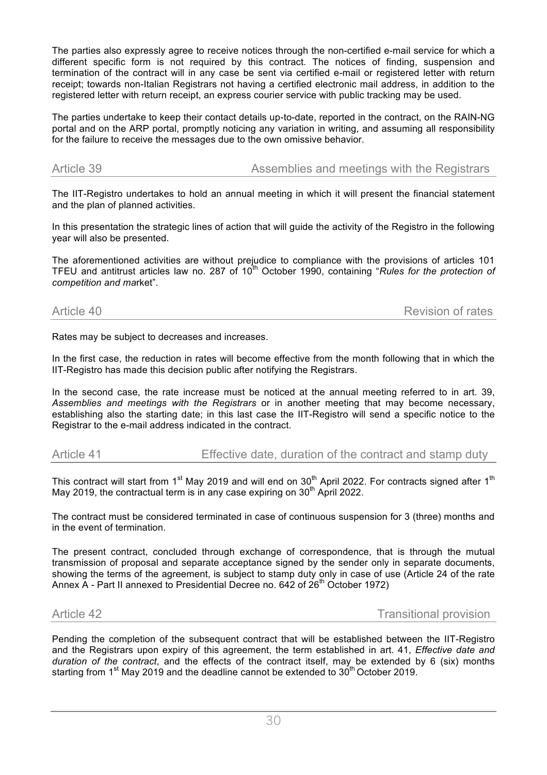The parties also expressly agree to receive notices through the non-certified e-mail service for which a different specific form is not required by this contract. The notices of finding, suspension and termination of the contract will in any case be sent via certified e-mail or registered letter with return receipt; towards non-Italian Registrars not having a certified electronic mail address, in addition to the registered letter with return receipt, an express courier service with public tracking may be used.

The parties undertake to keep their contact details up-to-date, reported in the contract, on the RAIN-NG portal and on the ARP portal, promptly noticing any variation in writing, and assuming all responsibility for the failure to receive the messages due to the own omissive behavior.

Article 39 **Assemblies and meetings with the Registrars** Article 39

The IIT-Registro undertakes to hold an annual meeting in which it will present the financial statement and the plan of planned activities.

In this presentation the strategic lines of action that will guide the activity of the Registro in the following year will also be presented.

The aforementioned activities are without prejudice to compliance with the provisions of articles 101 TFEU and antitrust articles law no. 287 of 10<sup>th</sup> October 1990, containing "*Rules for the protection of competition and ma*rket".

Article 40 Revision of rates

Rates may be subject to decreases and increases.

In the first case, the reduction in rates will become effective from the month following that in which the IIT-Registro has made this decision public after notifying the Registrars.

In the second case, the rate increase must be noticed at the annual meeting referred to in art. 39, *Assemblies and meetings with the Registrars* or in another meeting that may become necessary, establishing also the starting date; in this last case the IIT-Registro will send a specific notice to the Registrar to the e-mail address indicated in the contract.

Article 41 Effective date, duration of the contract and stamp duty

This contract will start from 1<sup>st</sup> May 2019 and will end on 30<sup>th</sup> April 2022. For contracts signed after 1<sup>th</sup> May 2019, the contractual term is in any case expiring on  $30<sup>th</sup>$  April 2022.

The contract must be considered terminated in case of continuous suspension for 3 (three) months and in the event of termination.

The present contract, concluded through exchange of correspondence, that is through the mutual transmission of proposal and separate acceptance signed by the sender only in separate documents, showing the terms of the agreement, is subject to stamp duty only in case of use (Article 24 of the rate Annex  $\overline{A}$  - Part II annexed to Presidential Decree no. 642 of 26<sup>th</sup> October 1972)

Article 42 **Transitional provision** 

Pending the completion of the subsequent contract that will be established between the IIT-Registro and the Registrars upon expiry of this agreement, the term established in art. 41, *Effective date and duration of the contract*, and the effects of the contract itself, may be extended by 6 (six) months starting from 1<sup>st</sup> May 2019 and the deadline cannot be extended to  $30<sup>th</sup>$  October 2019.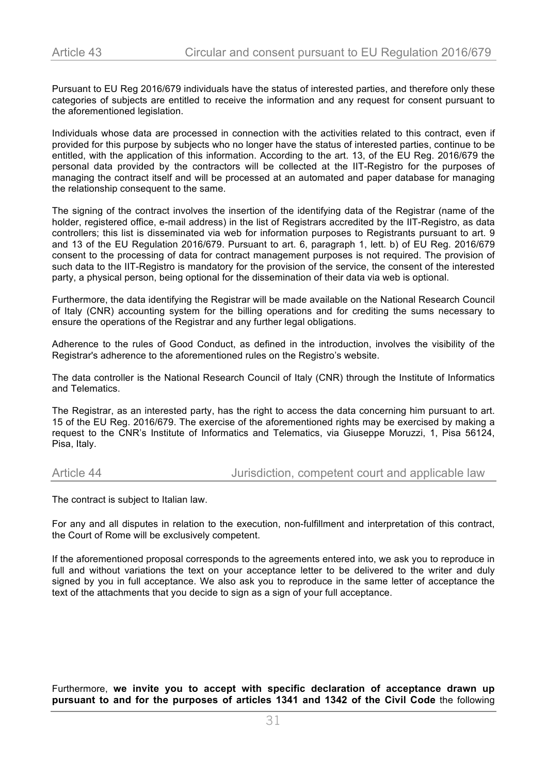Pursuant to EU Reg 2016/679 individuals have the status of interested parties, and therefore only these categories of subjects are entitled to receive the information and any request for consent pursuant to the aforementioned legislation.

Individuals whose data are processed in connection with the activities related to this contract, even if provided for this purpose by subjects who no longer have the status of interested parties, continue to be entitled, with the application of this information. According to the art. 13, of the EU Reg. 2016/679 the personal data provided by the contractors will be collected at the IIT-Registro for the purposes of managing the contract itself and will be processed at an automated and paper database for managing the relationship consequent to the same.

The signing of the contract involves the insertion of the identifying data of the Registrar (name of the holder, registered office, e-mail address) in the list of Registrars accredited by the IIT-Registro, as data controllers; this list is disseminated via web for information purposes to Registrants pursuant to art. 9 and 13 of the EU Regulation 2016/679. Pursuant to art. 6, paragraph 1, lett. b) of EU Reg. 2016/679 consent to the processing of data for contract management purposes is not required. The provision of such data to the IIT-Registro is mandatory for the provision of the service, the consent of the interested party, a physical person, being optional for the dissemination of their data via web is optional.

Furthermore, the data identifying the Registrar will be made available on the National Research Council of Italy (CNR) accounting system for the billing operations and for crediting the sums necessary to ensure the operations of the Registrar and any further legal obligations.

Adherence to the rules of Good Conduct, as defined in the introduction, involves the visibility of the Registrar's adherence to the aforementioned rules on the Registro's website.

The data controller is the National Research Council of Italy (CNR) through the Institute of Informatics and Telematics.

The Registrar, as an interested party, has the right to access the data concerning him pursuant to art. 15 of the EU Reg. 2016/679. The exercise of the aforementioned rights may be exercised by making a request to the CNR's Institute of Informatics and Telematics, via Giuseppe Moruzzi, 1, Pisa 56124, Pisa, Italy.

Article 44 **Article 44** Jurisdiction, competent court and applicable law

The contract is subject to Italian law.

For any and all disputes in relation to the execution, non-fulfillment and interpretation of this contract, the Court of Rome will be exclusively competent.

If the aforementioned proposal corresponds to the agreements entered into, we ask you to reproduce in full and without variations the text on your acceptance letter to be delivered to the writer and duly signed by you in full acceptance. We also ask you to reproduce in the same letter of acceptance the text of the attachments that you decide to sign as a sign of your full acceptance.

### Furthermore, **we invite you to accept with specific declaration of acceptance drawn up pursuant to and for the purposes of articles 1341 and 1342 of the Civil Code** the following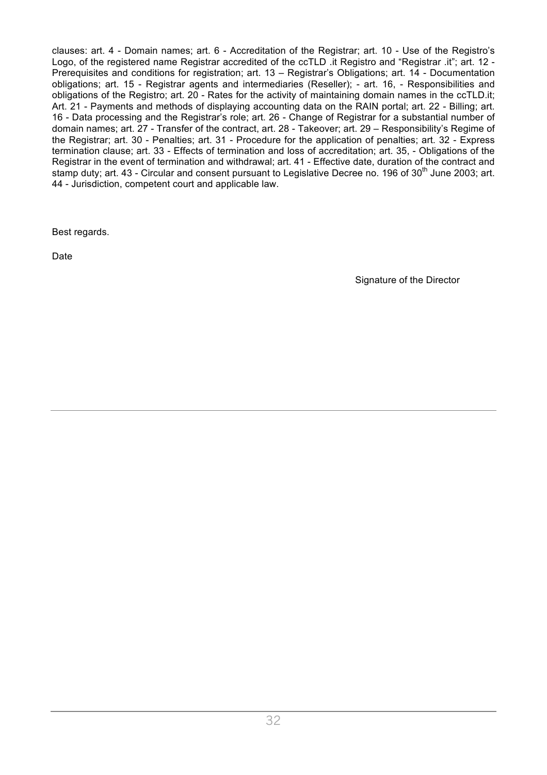clauses: art. 4 - Domain names; art. 6 - Accreditation of the Registrar; art. 10 - Use of the Registro's Logo, of the registered name Registrar accredited of the ccTLD .it Registro and "Registrar .it"; art. 12 - Prerequisites and conditions for registration; art. 13 – Registrar's Obligations; art. 14 - Documentation obligations; art. 15 - Registrar agents and intermediaries (Reseller); - art. 16, - Responsibilities and obligations of the Registro; art. 20 - Rates for the activity of maintaining domain names in the ccTLD.it; Art. 21 - Payments and methods of displaying accounting data on the RAIN portal; art. 22 - Billing; art. 16 - Data processing and the Registrar's role; art. 26 - Change of Registrar for a substantial number of domain names; art. 27 - Transfer of the contract, art. 28 - Takeover; art. 29 – Responsibility's Regime of the Registrar; art. 30 - Penalties; art. 31 - Procedure for the application of penalties; art. 32 - Express termination clause; art. 33 - Effects of termination and loss of accreditation; art. 35, - Obligations of the Registrar in the event of termination and withdrawal; art. 41 - Effective date, duration of the contract and stamp duty; art. 43 - Circular and consent pursuant to Legislative Decree no. 196 of 30<sup>th</sup> June 2003: art. 44 - Jurisdiction, competent court and applicable law.

Best regards.

Date

Signature of the Director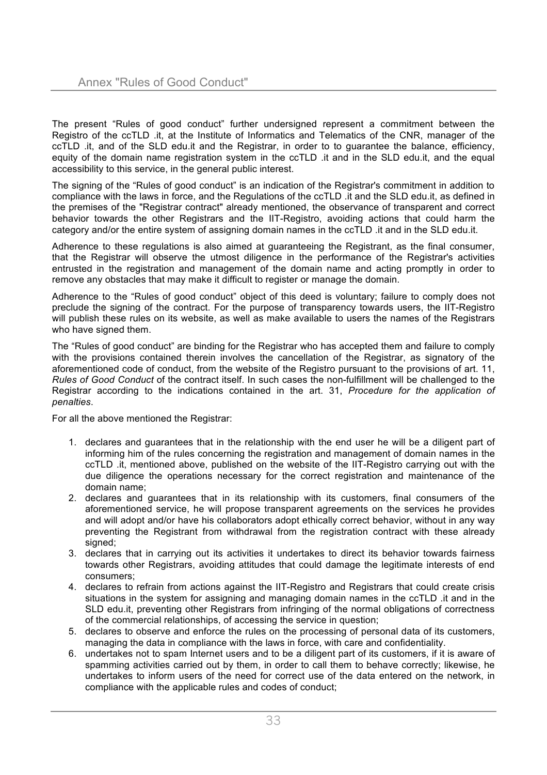The present "Rules of good conduct" further undersigned represent a commitment between the Registro of the ccTLD .it, at the Institute of Informatics and Telematics of the CNR, manager of the ccTLD .it, and of the SLD edu.it and the Registrar, in order to to guarantee the balance, efficiency, equity of the domain name registration system in the ccTLD .it and in the SLD edu.it, and the equal accessibility to this service, in the general public interest.

The signing of the "Rules of good conduct" is an indication of the Registrar's commitment in addition to compliance with the laws in force, and the Regulations of the ccTLD .it and the SLD edu.it, as defined in the premises of the "Registrar contract" already mentioned, the observance of transparent and correct behavior towards the other Registrars and the IIT-Registro, avoiding actions that could harm the category and/or the entire system of assigning domain names in the ccTLD .it and in the SLD edu.it.

Adherence to these regulations is also aimed at guaranteeing the Registrant, as the final consumer, that the Registrar will observe the utmost diligence in the performance of the Registrar's activities entrusted in the registration and management of the domain name and acting promptly in order to remove any obstacles that may make it difficult to register or manage the domain.

Adherence to the "Rules of good conduct" object of this deed is voluntary; failure to comply does not preclude the signing of the contract. For the purpose of transparency towards users, the IIT-Registro will publish these rules on its website, as well as make available to users the names of the Registrars who have signed them.

The "Rules of good conduct" are binding for the Registrar who has accepted them and failure to comply with the provisions contained therein involves the cancellation of the Registrar, as signatory of the aforementioned code of conduct, from the website of the Registro pursuant to the provisions of art. 11, *Rules of Good Conduct* of the contract itself. In such cases the non-fulfillment will be challenged to the Registrar according to the indications contained in the art. 31, *Procedure for the application of penalties*.

For all the above mentioned the Registrar:

- 1. declares and guarantees that in the relationship with the end user he will be a diligent part of informing him of the rules concerning the registration and management of domain names in the ccTLD .it, mentioned above, published on the website of the IIT-Registro carrying out with the due diligence the operations necessary for the correct registration and maintenance of the domain name;
- 2. declares and guarantees that in its relationship with its customers, final consumers of the aforementioned service, he will propose transparent agreements on the services he provides and will adopt and/or have his collaborators adopt ethically correct behavior, without in any way preventing the Registrant from withdrawal from the registration contract with these already signed:
- 3. declares that in carrying out its activities it undertakes to direct its behavior towards fairness towards other Registrars, avoiding attitudes that could damage the legitimate interests of end consumers;
- 4. declares to refrain from actions against the IIT-Registro and Registrars that could create crisis situations in the system for assigning and managing domain names in the ccTLD .it and in the SLD edu.it, preventing other Registrars from infringing of the normal obligations of correctness of the commercial relationships, of accessing the service in question;
- 5. declares to observe and enforce the rules on the processing of personal data of its customers, managing the data in compliance with the laws in force, with care and confidentiality.
- 6. undertakes not to spam Internet users and to be a diligent part of its customers, if it is aware of spamming activities carried out by them, in order to call them to behave correctly; likewise, he undertakes to inform users of the need for correct use of the data entered on the network, in compliance with the applicable rules and codes of conduct;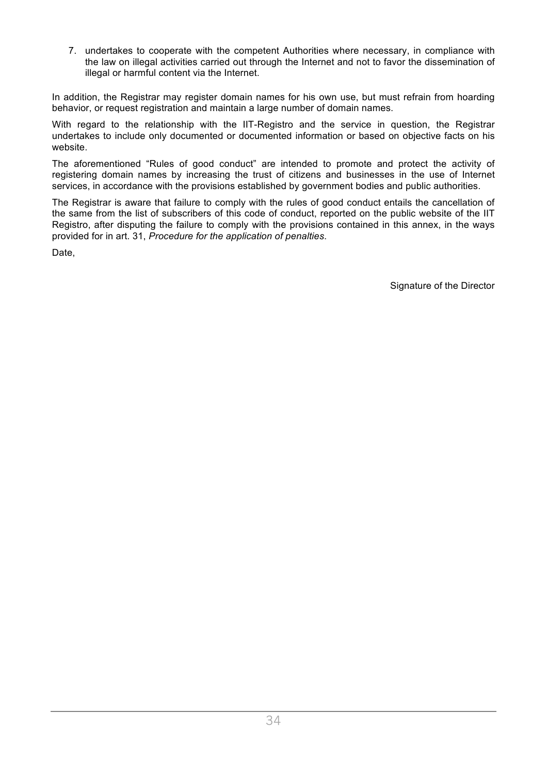7. undertakes to cooperate with the competent Authorities where necessary, in compliance with the law on illegal activities carried out through the Internet and not to favor the dissemination of illegal or harmful content via the Internet.

In addition, the Registrar may register domain names for his own use, but must refrain from hoarding behavior, or request registration and maintain a large number of domain names.

With regard to the relationship with the IIT-Registro and the service in question, the Registrar undertakes to include only documented or documented information or based on objective facts on his website.

The aforementioned "Rules of good conduct" are intended to promote and protect the activity of registering domain names by increasing the trust of citizens and businesses in the use of Internet services, in accordance with the provisions established by government bodies and public authorities.

The Registrar is aware that failure to comply with the rules of good conduct entails the cancellation of the same from the list of subscribers of this code of conduct, reported on the public website of the IIT Registro, after disputing the failure to comply with the provisions contained in this annex, in the ways provided for in art. 31, *Procedure for the application of penalties*.

Date,

Signature of the Director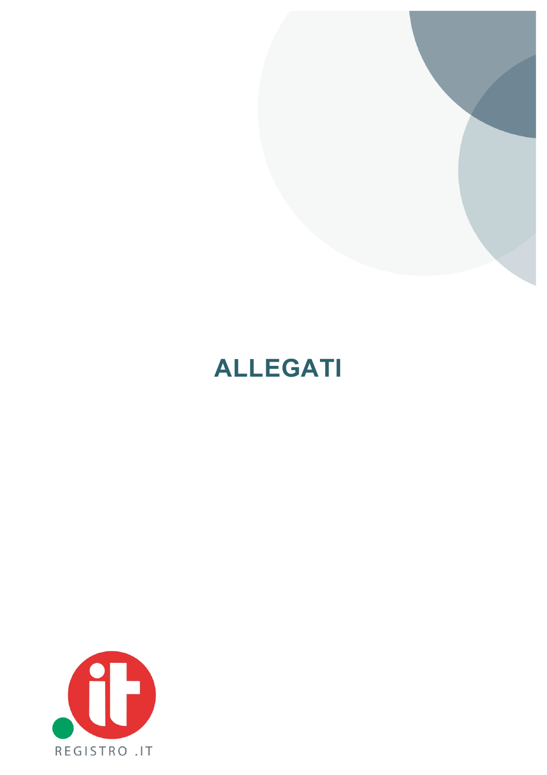

# **ALLEGATI**

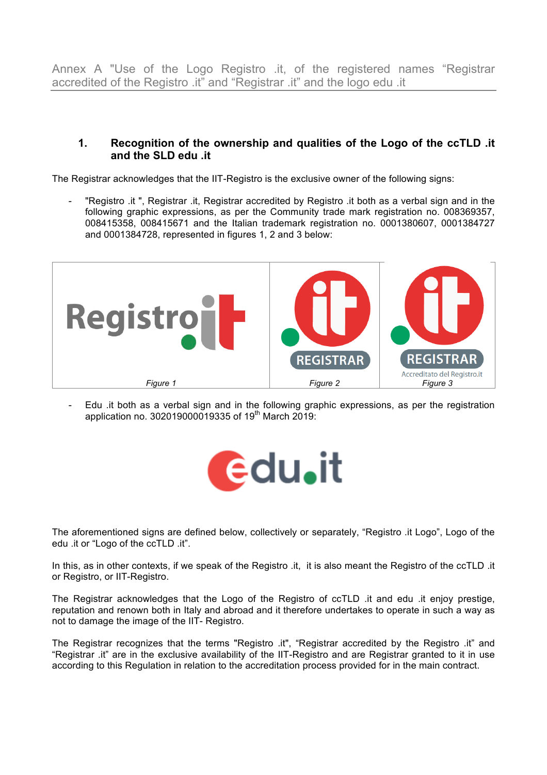Annex A "Use of the Logo Registro .it, of the registered names "Registrar accredited of the Registro .it" and "Registrar .it" and the logo edu .it

### **1. Recognition of the ownership and qualities of the Logo of the ccTLD .it and the SLD edu .it**

The Registrar acknowledges that the IIT-Registro is the exclusive owner of the following signs:

"Registro .it ", Registrar .it, Registrar accredited by Registro .it both as a verbal sign and in the following graphic expressions, as per the Community trade mark registration no. 008369357, 008415358, 008415671 and the Italian trademark registration no. 0001380607, 0001384727 and 0001384728, represented in figures 1, 2 and 3 below:



- Edu .it both as a verbal sign and in the following graphic expressions, as per the registration application no. 302019000019335 of 19<sup>th</sup> March 2019:



The aforementioned signs are defined below, collectively or separately, "Registro .it Logo", Logo of the edu .it or "Logo of the ccTLD .it".

In this, as in other contexts, if we speak of the Registro .it, it is also meant the Registro of the ccTLD .it or Registro, or IIT-Registro.

The Registrar acknowledges that the Logo of the Registro of ccTLD .it and edu .it enjoy prestige, reputation and renown both in Italy and abroad and it therefore undertakes to operate in such a way as not to damage the image of the IIT- Registro.

The Registrar recognizes that the terms "Registro .it", "Registrar accredited by the Registro .it" and "Registrar .it" are in the exclusive availability of the IIT-Registro and are Registrar granted to it in use according to this Regulation in relation to the accreditation process provided for in the main contract.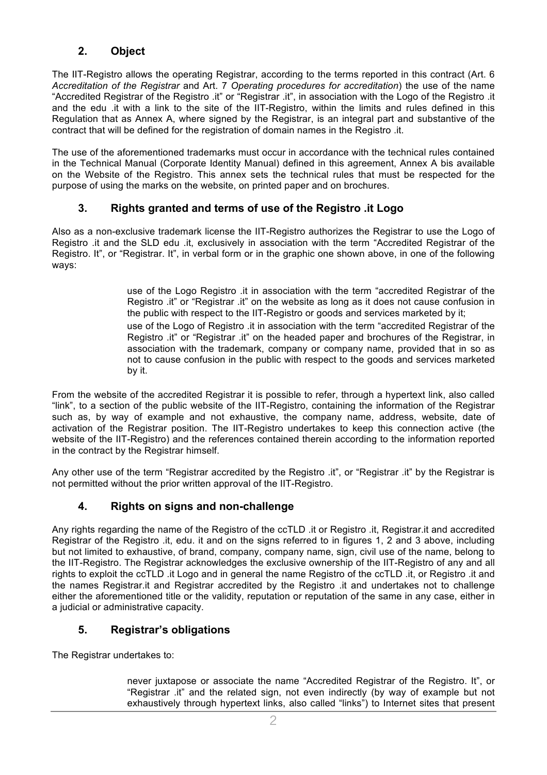# **2. Object**

The IIT-Registro allows the operating Registrar, according to the terms reported in this contract (Art. 6 *Accreditation of the Registrar* and Art. 7 *Operating procedures for accreditation*) the use of the name "Accredited Registrar of the Registro .it" or "Registrar .it", in association with the Logo of the Registro .it and the edu .it with a link to the site of the IIT-Registro, within the limits and rules defined in this Regulation that as Annex A, where signed by the Registrar, is an integral part and substantive of the contract that will be defined for the registration of domain names in the Registro .it.

The use of the aforementioned trademarks must occur in accordance with the technical rules contained in the Technical Manual (Corporate Identity Manual) defined in this agreement, Annex A bis available on the Website of the Registro. This annex sets the technical rules that must be respected for the purpose of using the marks on the website, on printed paper and on brochures.

# **3. Rights granted and terms of use of the Registro .it Logo**

Also as a non-exclusive trademark license the IIT-Registro authorizes the Registrar to use the Logo of Registro .it and the SLD edu .it, exclusively in association with the term "Accredited Registrar of the Registro. It", or "Registrar. It", in verbal form or in the graphic one shown above, in one of the following ways:

> use of the Logo Registro .it in association with the term "accredited Registrar of the Registro .it" or "Registrar .it" on the website as long as it does not cause confusion in the public with respect to the IIT-Registro or goods and services marketed by it; use of the Logo of Registro .it in association with the term "accredited Registrar of the Registro .it" or "Registrar .it" on the headed paper and brochures of the Registrar, in association with the trademark, company or company name, provided that in so as not to cause confusion in the public with respect to the goods and services marketed by it.

From the website of the accredited Registrar it is possible to refer, through a hypertext link, also called "link", to a section of the public website of the IIT-Registro, containing the information of the Registrar such as, by way of example and not exhaustive, the company name, address, website, date of activation of the Registrar position. The IIT-Registro undertakes to keep this connection active (the website of the IIT-Registro) and the references contained therein according to the information reported in the contract by the Registrar himself.

Any other use of the term "Registrar accredited by the Registro .it", or "Registrar .it" by the Registrar is not permitted without the prior written approval of the IIT-Registro.

# **4. Rights on signs and non-challenge**

Any rights regarding the name of the Registro of the ccTLD .it or Registro .it, Registrar.it and accredited Registrar of the Registro .it, edu. it and on the signs referred to in figures 1, 2 and 3 above, including but not limited to exhaustive, of brand, company, company name, sign, civil use of the name, belong to the IIT-Registro. The Registrar acknowledges the exclusive ownership of the IIT-Registro of any and all rights to exploit the ccTLD .it Logo and in general the name Registro of the ccTLD .it, or Registro .it and the names Registrar.it and Registrar accredited by the Registro .it and undertakes not to challenge either the aforementioned title or the validity, reputation or reputation of the same in any case, either in a judicial or administrative capacity.

# **5. Registrar's obligations**

The Registrar undertakes to:

 never juxtapose or associate the name "Accredited Registrar of the Registro. It", or "Registrar .it" and the related sign, not even indirectly (by way of example but not exhaustively through hypertext links, also called "links") to Internet sites that present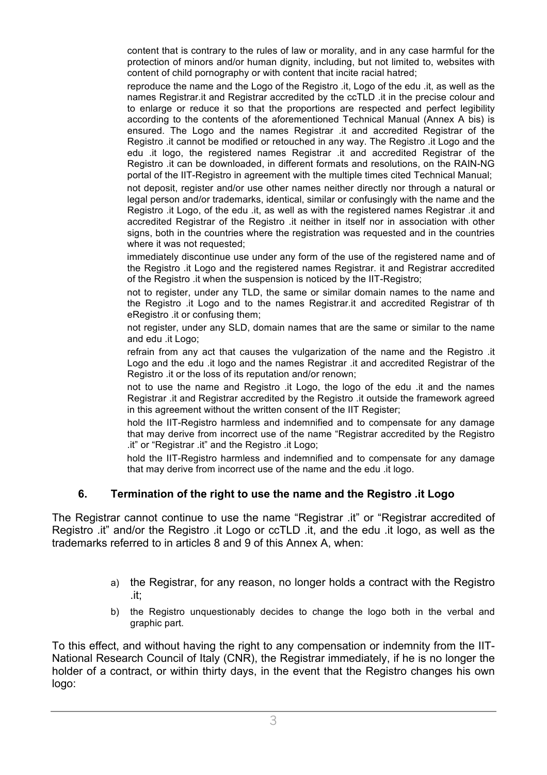content that is contrary to the rules of law or morality, and in any case harmful for the protection of minors and/or human dignity, including, but not limited to, websites with content of child pornography or with content that incite racial hatred;

 reproduce the name and the Logo of the Registro .it, Logo of the edu .it, as well as the names Registrar.it and Registrar accredited by the ccTLD .it in the precise colour and to enlarge or reduce it so that the proportions are respected and perfect legibility according to the contents of the aforementioned Technical Manual (Annex A bis) is ensured. The Logo and the names Registrar .it and accredited Registrar of the Registro .it cannot be modified or retouched in any way. The Registro .it Logo and the edu .it logo, the registered names Registrar .it and accredited Registrar of the Registro .it can be downloaded, in different formats and resolutions, on the RAIN-NG portal of the IIT-Registro in agreement with the multiple times cited Technical Manual;

 not deposit, register and/or use other names neither directly nor through a natural or legal person and/or trademarks, identical, similar or confusingly with the name and the Registro .it Logo, of the edu .it, as well as with the registered names Registrar .it and accredited Registrar of the Registro .it neither in itself nor in association with other signs, both in the countries where the registration was requested and in the countries where it was not requested;

 immediately discontinue use under any form of the use of the registered name and of the Registro .it Logo and the registered names Registrar. it and Registrar accredited of the Registro .it when the suspension is noticed by the IIT-Registro;

 not to register, under any TLD, the same or similar domain names to the name and the Registro .it Logo and to the names Registrar.it and accredited Registrar of th eRegistro .it or confusing them;

 not register, under any SLD, domain names that are the same or similar to the name and edu .it Logo;

 refrain from any act that causes the vulgarization of the name and the Registro .it Logo and the edu .it logo and the names Registrar .it and accredited Registrar of the Registro .it or the loss of its reputation and/or renown;

 not to use the name and Registro .it Logo, the logo of the edu .it and the names Registrar .it and Registrar accredited by the Registro .it outside the framework agreed in this agreement without the written consent of the IIT Register;

 hold the IIT-Registro harmless and indemnified and to compensate for any damage that may derive from incorrect use of the name "Registrar accredited by the Registro .it" or "Registrar .it" and the Registro .it Logo;

 hold the IIT-Registro harmless and indemnified and to compensate for any damage that may derive from incorrect use of the name and the edu .it logo.

# **6. Termination of the right to use the name and the Registro .it Logo**

The Registrar cannot continue to use the name "Registrar .it" or "Registrar accredited of Registro .it" and/or the Registro .it Logo or ccTLD .it, and the edu .it logo, as well as the trademarks referred to in articles 8 and 9 of this Annex A, when:

- a) the Registrar, for any reason, no longer holds a contract with the Registro .it;
- b) the Registro unquestionably decides to change the logo both in the verbal and graphic part.

To this effect, and without having the right to any compensation or indemnity from the IIT-National Research Council of Italy (CNR), the Registrar immediately, if he is no longer the holder of a contract, or within thirty days, in the event that the Registro changes his own logo: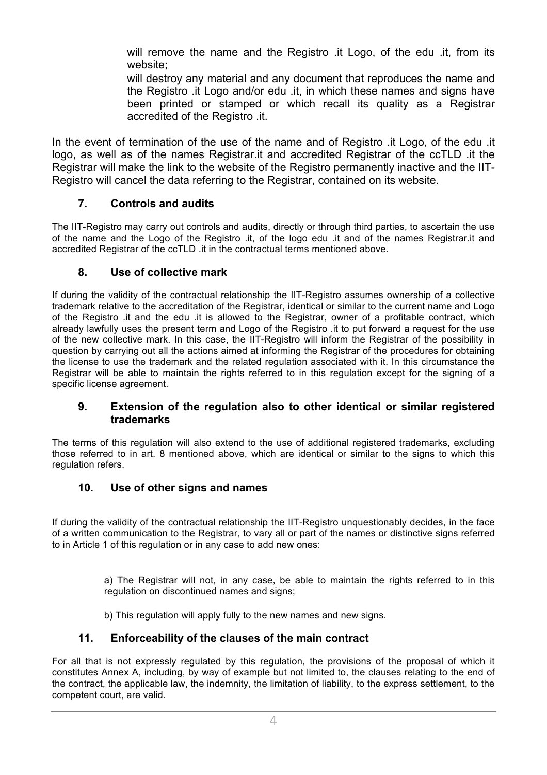will remove the name and the Registro .it Logo, of the edu .it, from its website;

 will destroy any material and any document that reproduces the name and the Registro .it Logo and/or edu .it, in which these names and signs have been printed or stamped or which recall its quality as a Registrar accredited of the Registro .it.

In the event of termination of the use of the name and of Registro .it Logo, of the edu .it logo, as well as of the names Registrar.it and accredited Registrar of the ccTLD .it the Registrar will make the link to the website of the Registro permanently inactive and the IIT-Registro will cancel the data referring to the Registrar, contained on its website.

# **7. Controls and audits**

The IIT-Registro may carry out controls and audits, directly or through third parties, to ascertain the use of the name and the Logo of the Registro .it, of the logo edu .it and of the names Registrar.it and accredited Registrar of the ccTLD .it in the contractual terms mentioned above.

# **8. Use of collective mark**

If during the validity of the contractual relationship the IIT-Registro assumes ownership of a collective trademark relative to the accreditation of the Registrar, identical or similar to the current name and Logo of the Registro .it and the edu .it is allowed to the Registrar, owner of a profitable contract, which already lawfully uses the present term and Logo of the Registro .it to put forward a request for the use of the new collective mark. In this case, the IIT-Registro will inform the Registrar of the possibility in question by carrying out all the actions aimed at informing the Registrar of the procedures for obtaining the license to use the trademark and the related regulation associated with it. In this circumstance the Registrar will be able to maintain the rights referred to in this regulation except for the signing of a specific license agreement.

### **9. Extension of the regulation also to other identical or similar registered trademarks**

The terms of this regulation will also extend to the use of additional registered trademarks, excluding those referred to in art. 8 mentioned above, which are identical or similar to the signs to which this regulation refers.

# **10. Use of other signs and names**

If during the validity of the contractual relationship the IIT-Registro unquestionably decides, in the face of a written communication to the Registrar, to vary all or part of the names or distinctive signs referred to in Article 1 of this regulation or in any case to add new ones:

> a) The Registrar will not, in any case, be able to maintain the rights referred to in this regulation on discontinued names and signs;

b) This regulation will apply fully to the new names and new signs.

# **11. Enforceability of the clauses of the main contract**

For all that is not expressly regulated by this regulation, the provisions of the proposal of which it constitutes Annex A, including, by way of example but not limited to, the clauses relating to the end of the contract, the applicable law, the indemnity, the limitation of liability, to the express settlement, to the competent court, are valid.